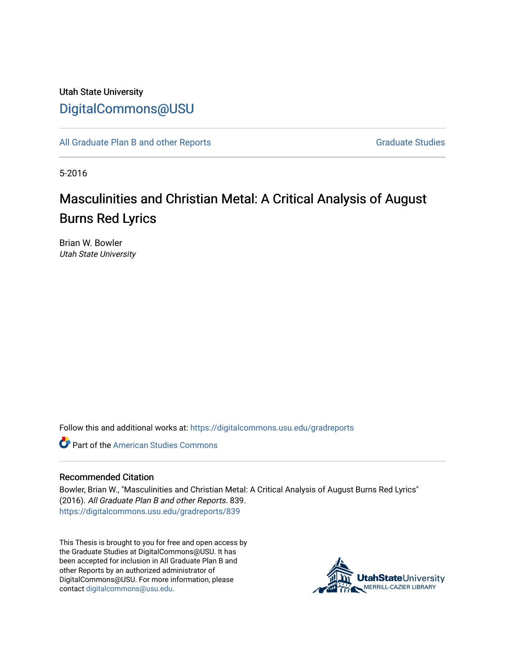# Utah State University [DigitalCommons@USU](https://digitalcommons.usu.edu/)

[All Graduate Plan B and other Reports](https://digitalcommons.usu.edu/gradreports) **Graduate Studies** Graduate Studies

5-2016

# Masculinities and Christian Metal: A Critical Analysis of August Burns Red Lyrics

Brian W. Bowler Utah State University

Follow this and additional works at: [https://digitalcommons.usu.edu/gradreports](https://digitalcommons.usu.edu/gradreports?utm_source=digitalcommons.usu.edu%2Fgradreports%2F839&utm_medium=PDF&utm_campaign=PDFCoverPages)

**C** Part of the [American Studies Commons](http://network.bepress.com/hgg/discipline/439?utm_source=digitalcommons.usu.edu%2Fgradreports%2F839&utm_medium=PDF&utm_campaign=PDFCoverPages)

#### Recommended Citation

Bowler, Brian W., "Masculinities and Christian Metal: A Critical Analysis of August Burns Red Lyrics" (2016). All Graduate Plan B and other Reports. 839. [https://digitalcommons.usu.edu/gradreports/839](https://digitalcommons.usu.edu/gradreports/839?utm_source=digitalcommons.usu.edu%2Fgradreports%2F839&utm_medium=PDF&utm_campaign=PDFCoverPages)

This Thesis is brought to you for free and open access by the Graduate Studies at DigitalCommons@USU. It has been accepted for inclusion in All Graduate Plan B and other Reports by an authorized administrator of DigitalCommons@USU. For more information, please contact [digitalcommons@usu.edu](mailto:digitalcommons@usu.edu).

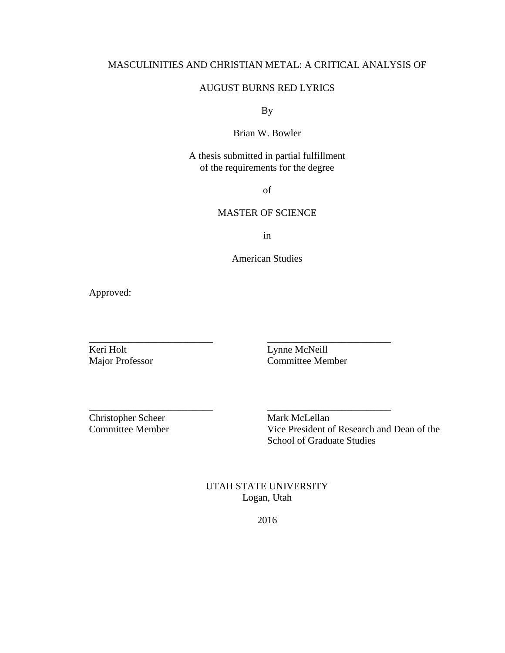# MASCULINITIES AND CHRISTIAN METAL: A CRITICAL ANALYSIS OF

# AUGUST BURNS RED LYRICS

By

# Brian W. Bowler

A thesis submitted in partial fulfillment of the requirements for the degree

of

## MASTER OF SCIENCE

in

American Studies

\_\_\_\_\_\_\_\_\_\_\_\_\_\_\_\_\_\_\_\_\_\_\_\_\_ \_\_\_\_\_\_\_\_\_\_\_\_\_\_\_\_\_\_\_\_\_\_\_\_\_

\_\_\_\_\_\_\_\_\_\_\_\_\_\_\_\_\_\_\_\_\_\_\_\_\_ \_\_\_\_\_\_\_\_\_\_\_\_\_\_\_\_\_\_\_\_\_\_\_\_\_

Approved:

Keri Holt Lynne McNeill

Major Professor Committee Member

Christopher Scheer Mark McLellan<br>
Committee Member Vice President of

Vice President of Research and Dean of the School of Graduate Studies

UTAH STATE UNIVERSITY Logan, Utah

2016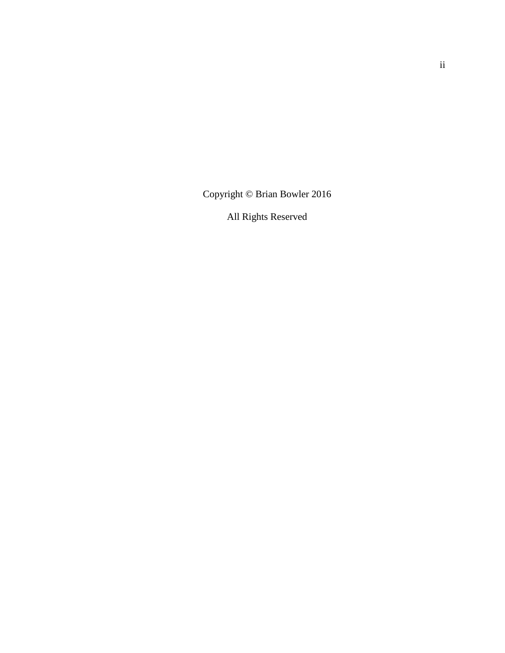Copyright © Brian Bowler 2016

All Rights Reserved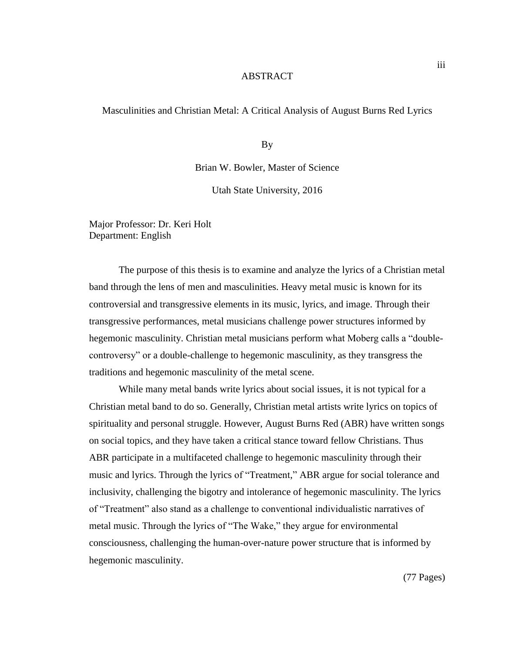### ABSTRACT

## Masculinities and Christian Metal: A Critical Analysis of August Burns Red Lyrics

By

Brian W. Bowler, Master of Science

Utah State University, 2016

Major Professor: Dr. Keri Holt Department: English

The purpose of this thesis is to examine and analyze the lyrics of a Christian metal band through the lens of men and masculinities. Heavy metal music is known for its controversial and transgressive elements in its music, lyrics, and image. Through their transgressive performances, metal musicians challenge power structures informed by hegemonic masculinity. Christian metal musicians perform what Moberg calls a "doublecontroversy" or a double-challenge to hegemonic masculinity, as they transgress the traditions and hegemonic masculinity of the metal scene.

While many metal bands write lyrics about social issues, it is not typical for a Christian metal band to do so. Generally, Christian metal artists write lyrics on topics of spirituality and personal struggle. However, August Burns Red (ABR) have written songs on social topics, and they have taken a critical stance toward fellow Christians. Thus ABR participate in a multifaceted challenge to hegemonic masculinity through their music and lyrics. Through the lyrics of "Treatment," ABR argue for social tolerance and inclusivity, challenging the bigotry and intolerance of hegemonic masculinity. The lyrics of "Treatment" also stand as a challenge to conventional individualistic narratives of metal music. Through the lyrics of "The Wake," they argue for environmental consciousness, challenging the human-over-nature power structure that is informed by hegemonic masculinity.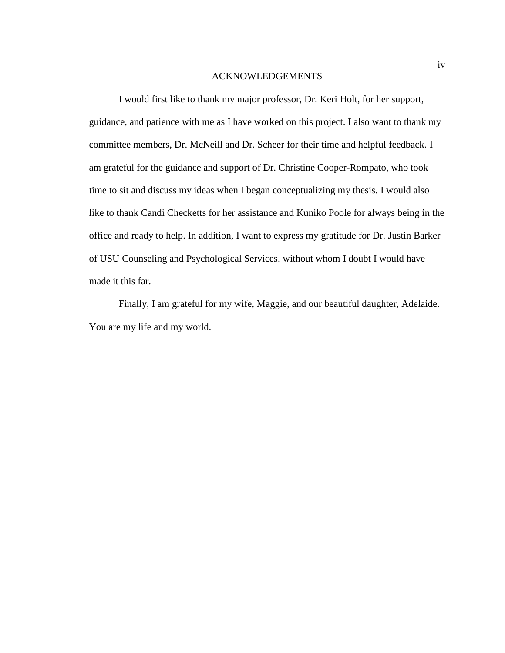#### ACKNOWLEDGEMENTS

I would first like to thank my major professor, Dr. Keri Holt, for her support, guidance, and patience with me as I have worked on this project. I also want to thank my committee members, Dr. McNeill and Dr. Scheer for their time and helpful feedback. I am grateful for the guidance and support of Dr. Christine Cooper-Rompato, who took time to sit and discuss my ideas when I began conceptualizing my thesis. I would also like to thank Candi Checketts for her assistance and Kuniko Poole for always being in the office and ready to help. In addition, I want to express my gratitude for Dr. Justin Barker of USU Counseling and Psychological Services, without whom I doubt I would have made it this far.

Finally, I am grateful for my wife, Maggie, and our beautiful daughter, Adelaide. You are my life and my world.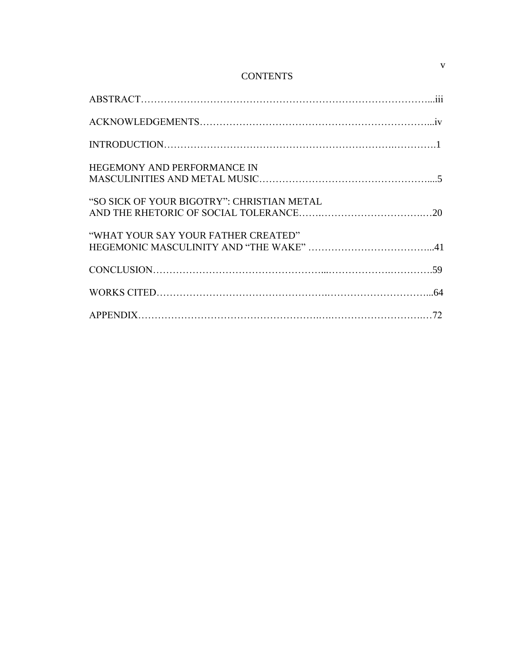# **CONTENTS**

| HEGEMONY AND PERFORMANCE IN                |  |
|--------------------------------------------|--|
|                                            |  |
| "SO SICK OF YOUR BIGOTRY": CHRISTIAN METAL |  |
|                                            |  |
| "WHAT YOUR SAY YOUR FATHER CREATED"        |  |
|                                            |  |
|                                            |  |
|                                            |  |
|                                            |  |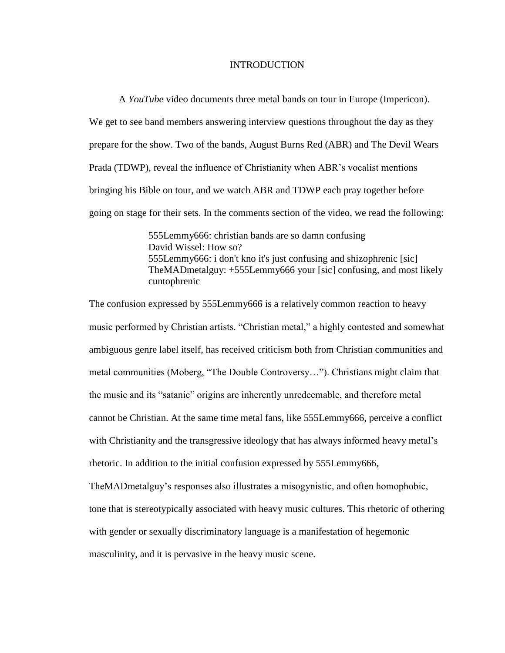#### INTRODUCTION

A *YouTube* video documents three metal bands on tour in Europe (Impericon). We get to see band members answering interview questions throughout the day as they prepare for the show. Two of the bands, August Burns Red (ABR) and The Devil Wears Prada (TDWP), reveal the influence of Christianity when ABR's vocalist mentions bringing his Bible on tour, and we watch ABR and TDWP each pray together before going on stage for their sets. In the comments section of the video, we read the following:

> 555Lemmy666: christian bands are so damn confusing David Wissel: How so? 555Lemmy666: i don't kno it's just confusing and shizophrenic [sic] TheMADmetalguy: +555Lemmy666 your [sic] confusing, and most likely cuntophrenic

The confusion expressed by 555Lemmy666 is a relatively common reaction to heavy music performed by Christian artists. "Christian metal," a highly contested and somewhat ambiguous genre label itself, has received criticism both from Christian communities and metal communities (Moberg, "The Double Controversy…"). Christians might claim that the music and its "satanic" origins are inherently unredeemable, and therefore metal cannot be Christian. At the same time metal fans, like 555Lemmy666, perceive a conflict with Christianity and the transgressive ideology that has always informed heavy metal's rhetoric. In addition to the initial confusion expressed by 555Lemmy666,

TheMADmetalguy's responses also illustrates a misogynistic, and often homophobic,

tone that is stereotypically associated with heavy music cultures. This rhetoric of othering

with gender or sexually discriminatory language is a manifestation of hegemonic

masculinity, and it is pervasive in the heavy music scene.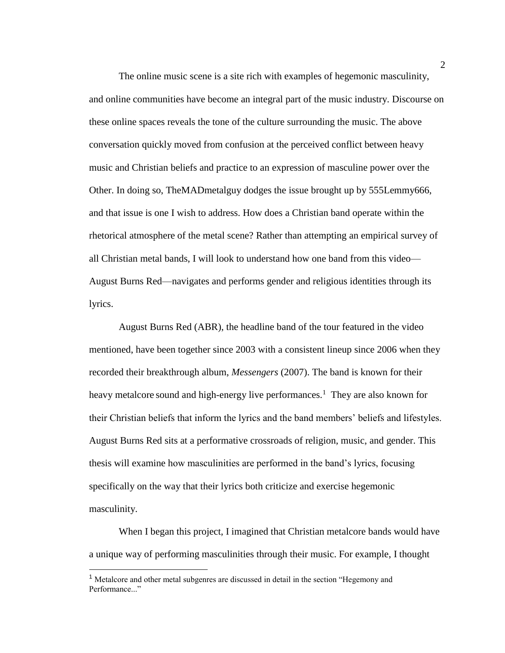The online music scene is a site rich with examples of hegemonic masculinity, and online communities have become an integral part of the music industry. Discourse on these online spaces reveals the tone of the culture surrounding the music. The above conversation quickly moved from confusion at the perceived conflict between heavy music and Christian beliefs and practice to an expression of masculine power over the Other. In doing so, TheMADmetalguy dodges the issue brought up by 555Lemmy666, and that issue is one I wish to address. How does a Christian band operate within the rhetorical atmosphere of the metal scene? Rather than attempting an empirical survey of all Christian metal bands, I will look to understand how one band from this video— August Burns Red—navigates and performs gender and religious identities through its lyrics.

August Burns Red (ABR), the headline band of the tour featured in the video mentioned, have been together since 2003 with a consistent lineup since 2006 when they recorded their breakthrough album, *Messengers* (2007). The band is known for their heavy metalcore sound and high-energy live performances.<sup>1</sup> They are also known for their Christian beliefs that inform the lyrics and the band members' beliefs and lifestyles. August Burns Red sits at a performative crossroads of religion, music, and gender. This thesis will examine how masculinities are performed in the band's lyrics, focusing specifically on the way that their lyrics both criticize and exercise hegemonic masculinity.

When I began this project, I imagined that Christian metalcore bands would have a unique way of performing masculinities through their music. For example, I thought

<sup>&</sup>lt;sup>1</sup> Metalcore and other metal subgenres are discussed in detail in the section "Hegemony and Performance<sup>"</sup>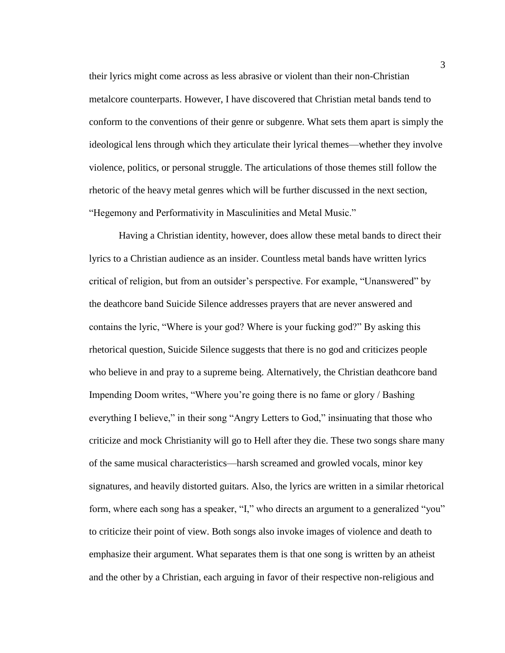their lyrics might come across as less abrasive or violent than their non-Christian metalcore counterparts. However, I have discovered that Christian metal bands tend to conform to the conventions of their genre or subgenre. What sets them apart is simply the ideological lens through which they articulate their lyrical themes—whether they involve violence, politics, or personal struggle. The articulations of those themes still follow the rhetoric of the heavy metal genres which will be further discussed in the next section, "Hegemony and Performativity in Masculinities and Metal Music."

Having a Christian identity, however, does allow these metal bands to direct their lyrics to a Christian audience as an insider. Countless metal bands have written lyrics critical of religion, but from an outsider's perspective. For example, "Unanswered" by the deathcore band Suicide Silence addresses prayers that are never answered and contains the lyric, "Where is your god? Where is your fucking god?" By asking this rhetorical question, Suicide Silence suggests that there is no god and criticizes people who believe in and pray to a supreme being. Alternatively, the Christian deathcore band Impending Doom writes, "Where you're going there is no fame or glory / Bashing everything I believe," in their song "Angry Letters to God," insinuating that those who criticize and mock Christianity will go to Hell after they die. These two songs share many of the same musical characteristics—harsh screamed and growled vocals, minor key signatures, and heavily distorted guitars. Also, the lyrics are written in a similar rhetorical form, where each song has a speaker, "I," who directs an argument to a generalized "you" to criticize their point of view. Both songs also invoke images of violence and death to emphasize their argument. What separates them is that one song is written by an atheist and the other by a Christian, each arguing in favor of their respective non-religious and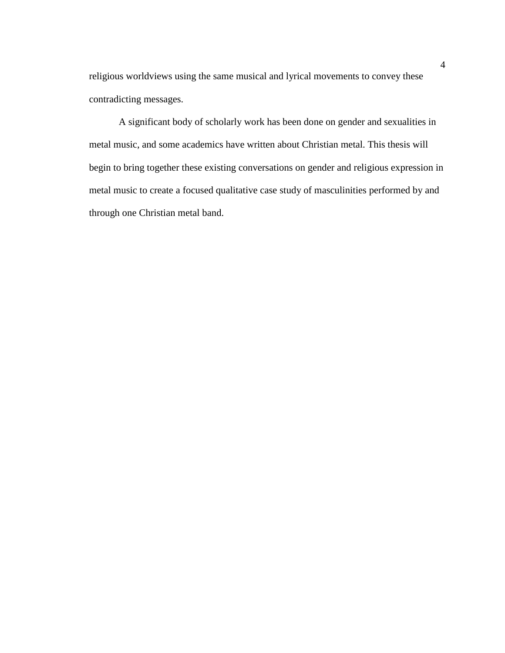religious worldviews using the same musical and lyrical movements to convey these contradicting messages.

A significant body of scholarly work has been done on gender and sexualities in metal music, and some academics have written about Christian metal. This thesis will begin to bring together these existing conversations on gender and religious expression in metal music to create a focused qualitative case study of masculinities performed by and through one Christian metal band.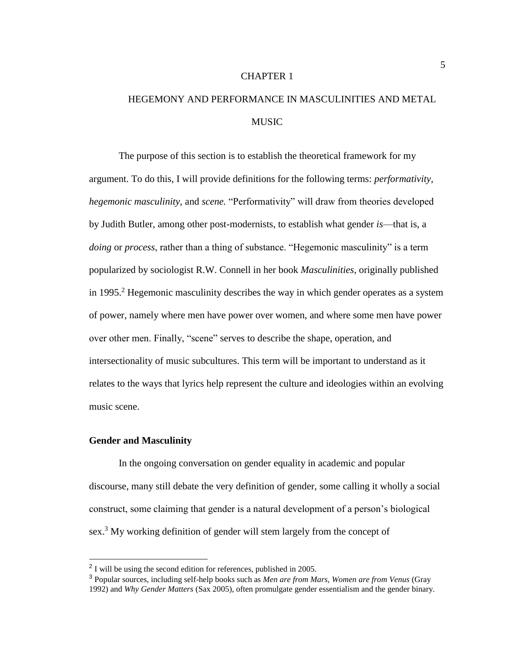#### CHAPTER 1

# HEGEMONY AND PERFORMANCE IN MASCULINITIES AND METAL MUSIC

 The purpose of this section is to establish the theoretical framework for my argument. To do this, I will provide definitions for the following terms: *performativity, hegemonic masculinity,* and *scene.* "Performativity" will draw from theories developed by Judith Butler, among other post-modernists, to establish what gender *is*—that is, a *doing or process*, rather than a thing of substance. "Hegemonic masculinity" is a term popularized by sociologist R.W. Connell in her book *Masculinities*, originally published in 1995.<sup>2</sup> Hegemonic masculinity describes the way in which gender operates as a system of power, namely where men have power over women, and where some men have power over other men. Finally, "scene" serves to describe the shape, operation, and intersectionality of music subcultures. This term will be important to understand as it relates to the ways that lyrics help represent the culture and ideologies within an evolving music scene.

## **Gender and Masculinity**

 $\overline{a}$ 

In the ongoing conversation on gender equality in academic and popular discourse, many still debate the very definition of gender, some calling it wholly a social construct, some claiming that gender is a natural development of a person's biological sex.<sup>3</sup> My working definition of gender will stem largely from the concept of

<sup>&</sup>lt;sup>2</sup> I will be using the second edition for references, published in 2005.

<sup>3</sup> Popular sources, including self-help books such as *Men are from Mars, Women are from Venus* (Gray 1992) and *Why Gender Matters* (Sax 2005), often promulgate gender essentialism and the gender binary.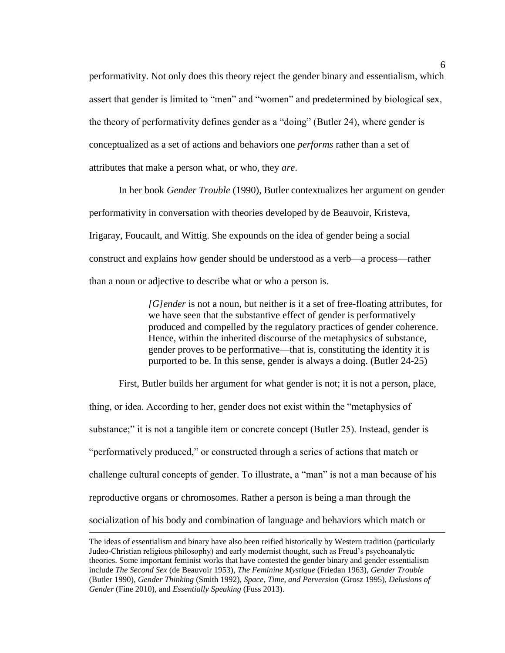performativity. Not only does this theory reject the gender binary and essentialism, which assert that gender is limited to "men" and "women" and predetermined by biological sex, the theory of performativity defines gender as a "doing" (Butler 24), where gender is conceptualized as a set of actions and behaviors one *performs* rather than a set of attributes that make a person what, or who, they *are*.

In her book *Gender Trouble* (1990), Butler contextualizes her argument on gender performativity in conversation with theories developed by de Beauvoir, Kristeva, Irigaray, Foucault, and Wittig. She expounds on the idea of gender being a social construct and explains how gender should be understood as a verb—a process—rather than a noun or adjective to describe what or who a person is.

> *[G]ender* is not a noun, but neither is it a set of free-floating attributes, for we have seen that the substantive effect of gender is performatively produced and compelled by the regulatory practices of gender coherence. Hence, within the inherited discourse of the metaphysics of substance, gender proves to be performative—that is, constituting the identity it is purported to be. In this sense, gender is always a doing. (Butler 24-25)

First, Butler builds her argument for what gender is not; it is not a person, place,

thing, or idea. According to her, gender does not exist within the "metaphysics of substance;" it is not a tangible item or concrete concept (Butler 25). Instead, gender is "performatively produced," or constructed through a series of actions that match or challenge cultural concepts of gender. To illustrate, a "man" is not a man because of his reproductive organs or chromosomes. Rather a person is being a man through the socialization of his body and combination of language and behaviors which match or

 $\overline{a}$ 

The ideas of essentialism and binary have also been reified historically by Western tradition (particularly Judeo-Christian religious philosophy) and early modernist thought, such as Freud's psychoanalytic theories. Some important feminist works that have contested the gender binary and gender essentialism include *The Second Sex* (de Beauvoir 1953), *The Feminine Mystique* (Friedan 1963), *Gender Trouble* (Butler 1990), *Gender Thinking* (Smith 1992), *Space, Time, and Perversion* (Grosz 1995), *Delusions of Gender* (Fine 2010), and *Essentially Speaking* (Fuss 2013).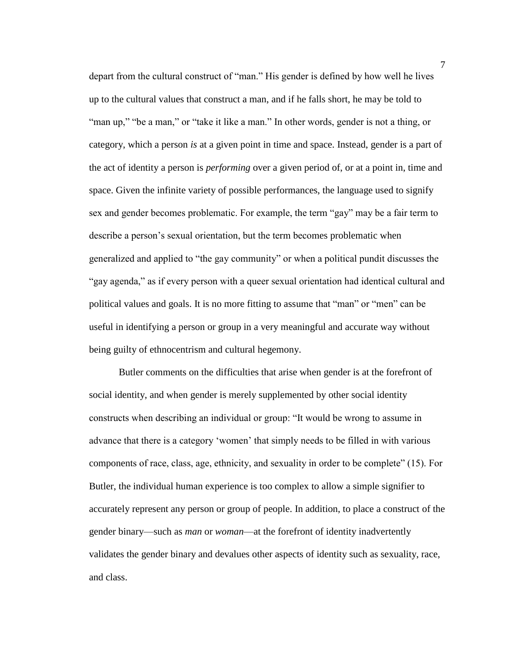depart from the cultural construct of "man." His gender is defined by how well he lives up to the cultural values that construct a man, and if he falls short, he may be told to "man up," "be a man," or "take it like a man." In other words, gender is not a thing, or category, which a person *is* at a given point in time and space. Instead, gender is a part of the act of identity a person is *performing* over a given period of, or at a point in, time and space. Given the infinite variety of possible performances, the language used to signify sex and gender becomes problematic. For example, the term "gay" may be a fair term to describe a person's sexual orientation, but the term becomes problematic when generalized and applied to "the gay community" or when a political pundit discusses the "gay agenda," as if every person with a queer sexual orientation had identical cultural and political values and goals. It is no more fitting to assume that "man" or "men" can be useful in identifying a person or group in a very meaningful and accurate way without being guilty of ethnocentrism and cultural hegemony.

Butler comments on the difficulties that arise when gender is at the forefront of social identity, and when gender is merely supplemented by other social identity constructs when describing an individual or group: "It would be wrong to assume in advance that there is a category 'women' that simply needs to be filled in with various components of race, class, age, ethnicity, and sexuality in order to be complete" (15). For Butler, the individual human experience is too complex to allow a simple signifier to accurately represent any person or group of people. In addition, to place a construct of the gender binary—such as *man* or *woman*—at the forefront of identity inadvertently validates the gender binary and devalues other aspects of identity such as sexuality, race, and class.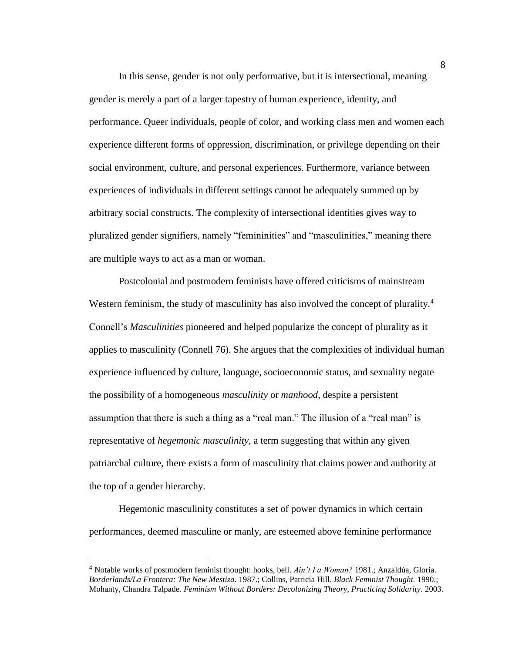In this sense, gender is not only performative, but it is intersectional, meaning gender is merely a part of a larger tapestry of human experience, identity, and performance. Queer individuals, people of color, and working class men and women each experience different forms of oppression, discrimination, or privilege depending on their social environment, culture, and personal experiences. Furthermore, variance between experiences of individuals in different settings cannot be adequately summed up by arbitrary social constructs. The complexity of intersectional identities gives way to pluralized gender signifiers, namely "femininities" and "masculinities," meaning there are multiple ways to act as a man or woman.

Postcolonial and postmodern feminists have offered criticisms of mainstream Western feminism, the study of masculinity has also involved the concept of plurality.<sup>4</sup> Connell's *Masculinities* pioneered and helped popularize the concept of plurality as it applies to masculinity (Connell 76). She argues that the complexities of individual human experience influenced by culture, language, socioeconomic status, and sexuality negate the possibility of a homogeneous *masculinity* or *manhood*, despite a persistent assumption that there is such a thing as a "real man." The illusion of a "real man" is representative of *hegemonic masculinity*, a term suggesting that within any given patriarchal culture, there exists a form of masculinity that claims power and authority at the top of a gender hierarchy.

Hegemonic masculinity constitutes a set of power dynamics in which certain performances, deemed masculine or manly, are esteemed above feminine performance

 $\overline{a}$ 

<sup>4</sup> Notable works of postmodern feminist thought: hooks, bell. *Ain't I a Woman?* 1981.; Anzaldúa, Gloria. *Borderlands/La Frontera: The New Mestiza*. 1987.; Collins, Patricia Hill. *Black Feminist Thought.* 1990.; Mohanty, Chandra Talpade. *Feminism Without Borders: Decolonizing Theory, Practicing Solidarity*. 2003.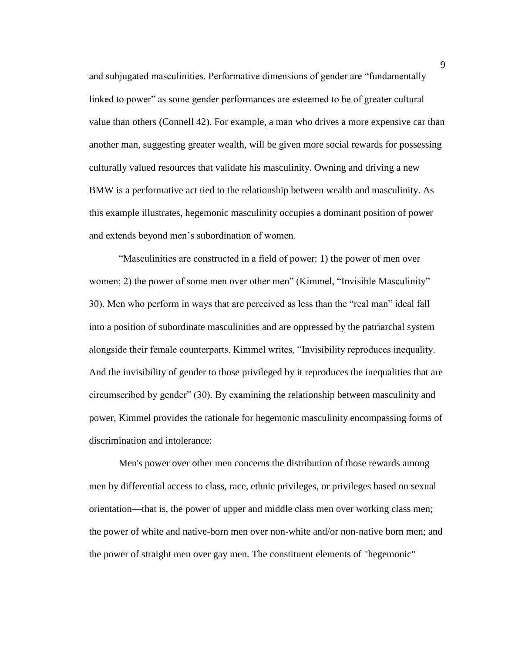and subjugated masculinities. Performative dimensions of gender are "fundamentally linked to power" as some gender performances are esteemed to be of greater cultural value than others (Connell 42). For example, a man who drives a more expensive car than another man, suggesting greater wealth, will be given more social rewards for possessing culturally valued resources that validate his masculinity. Owning and driving a new BMW is a performative act tied to the relationship between wealth and masculinity. As this example illustrates, hegemonic masculinity occupies a dominant position of power and extends beyond men's subordination of women.

"Masculinities are constructed in a field of power: 1) the power of men over women; 2) the power of some men over other men" (Kimmel, "Invisible Masculinity" 30). Men who perform in ways that are perceived as less than the "real man" ideal fall into a position of subordinate masculinities and are oppressed by the patriarchal system alongside their female counterparts. Kimmel writes, "Invisibility reproduces inequality. And the invisibility of gender to those privileged by it reproduces the inequalities that are circumscribed by gender" (30). By examining the relationship between masculinity and power, Kimmel provides the rationale for hegemonic masculinity encompassing forms of discrimination and intolerance:

Men's power over other men concerns the distribution of those rewards among men by differential access to class, race, ethnic privileges, or privileges based on sexual orientation—that is, the power of upper and middle class men over working class men; the power of white and native-born men over non-white and/or non-native born men; and the power of straight men over gay men. The constituent elements of "hegemonic"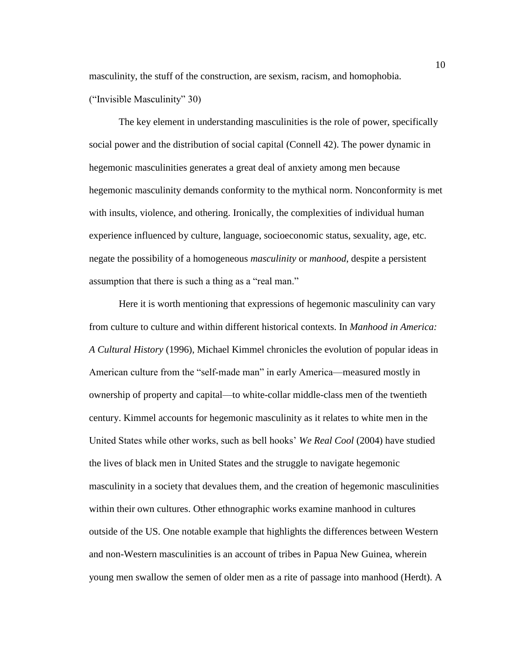masculinity, the stuff of the construction, are sexism, racism, and homophobia. ("Invisible Masculinity" 30)

The key element in understanding masculinities is the role of power, specifically social power and the distribution of social capital (Connell 42). The power dynamic in hegemonic masculinities generates a great deal of anxiety among men because hegemonic masculinity demands conformity to the mythical norm. Nonconformity is met with insults, violence, and othering. Ironically, the complexities of individual human experience influenced by culture, language, socioeconomic status, sexuality, age, etc. negate the possibility of a homogeneous *masculinity* or *manhood*, despite a persistent assumption that there is such a thing as a "real man."

Here it is worth mentioning that expressions of hegemonic masculinity can vary from culture to culture and within different historical contexts. In *Manhood in America: A Cultural History* (1996), Michael Kimmel chronicles the evolution of popular ideas in American culture from the "self-made man" in early America—measured mostly in ownership of property and capital—to white-collar middle-class men of the twentieth century. Kimmel accounts for hegemonic masculinity as it relates to white men in the United States while other works, such as bell hooks' *We Real Cool* (2004) have studied the lives of black men in United States and the struggle to navigate hegemonic masculinity in a society that devalues them, and the creation of hegemonic masculinities within their own cultures. Other ethnographic works examine manhood in cultures outside of the US. One notable example that highlights the differences between Western and non-Western masculinities is an account of tribes in Papua New Guinea, wherein young men swallow the semen of older men as a rite of passage into manhood (Herdt). A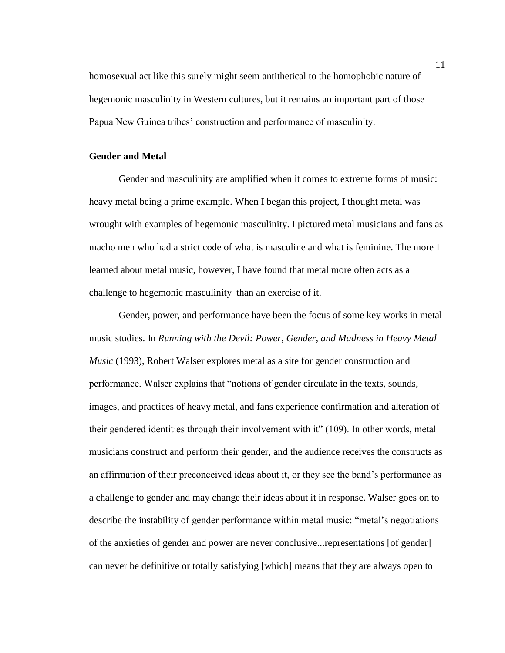homosexual act like this surely might seem antithetical to the homophobic nature of hegemonic masculinity in Western cultures, but it remains an important part of those Papua New Guinea tribes' construction and performance of masculinity.

### **Gender and Metal**

Gender and masculinity are amplified when it comes to extreme forms of music: heavy metal being a prime example. When I began this project, I thought metal was wrought with examples of hegemonic masculinity. I pictured metal musicians and fans as macho men who had a strict code of what is masculine and what is feminine. The more I learned about metal music, however, I have found that metal more often acts as a challenge to hegemonic masculinity than an exercise of it.

Gender, power, and performance have been the focus of some key works in metal music studies. In *Running with the Devil: Power, Gender, and Madness in Heavy Metal Music* (1993), Robert Walser explores metal as a site for gender construction and performance. Walser explains that "notions of gender circulate in the texts, sounds, images, and practices of heavy metal, and fans experience confirmation and alteration of their gendered identities through their involvement with it" (109). In other words, metal musicians construct and perform their gender, and the audience receives the constructs as an affirmation of their preconceived ideas about it, or they see the band's performance as a challenge to gender and may change their ideas about it in response. Walser goes on to describe the instability of gender performance within metal music: "metal's negotiations of the anxieties of gender and power are never conclusive...representations [of gender] can never be definitive or totally satisfying [which] means that they are always open to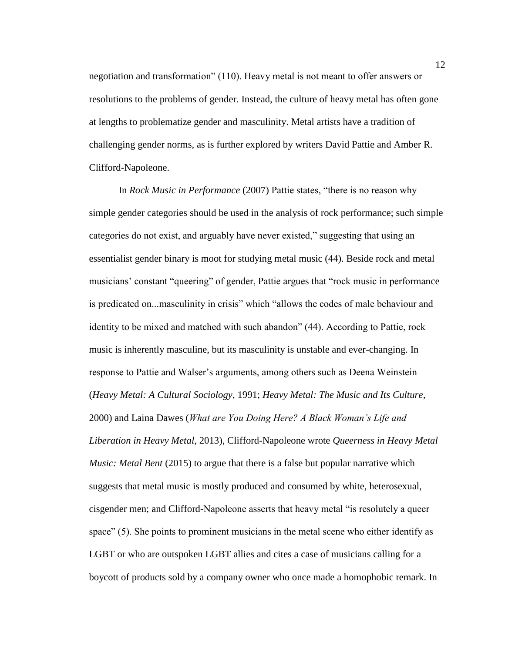negotiation and transformation" (110). Heavy metal is not meant to offer answers or resolutions to the problems of gender. Instead, the culture of heavy metal has often gone at lengths to problematize gender and masculinity. Metal artists have a tradition of challenging gender norms, as is further explored by writers David Pattie and Amber R. Clifford-Napoleone.

In *Rock Music in Performance* (2007) Pattie states, "there is no reason why simple gender categories should be used in the analysis of rock performance; such simple categories do not exist, and arguably have never existed," suggesting that using an essentialist gender binary is moot for studying metal music (44). Beside rock and metal musicians' constant "queering" of gender, Pattie argues that "rock music in performance is predicated on...masculinity in crisis" which "allows the codes of male behaviour and identity to be mixed and matched with such abandon" (44). According to Pattie, rock music is inherently masculine, but its masculinity is unstable and ever-changing. In response to Pattie and Walser's arguments, among others such as Deena Weinstein (*Heavy Metal: A Cultural Sociology*, 1991; *Heavy Metal: The Music and Its Culture*, 2000) and Laina Dawes (*What are You Doing Here? A Black Woman's Life and Liberation in Heavy Metal*, 2013), Clifford-Napoleone wrote *Queerness in Heavy Metal Music: Metal Bent* (2015) to argue that there is a false but popular narrative which suggests that metal music is mostly produced and consumed by white, heterosexual, cisgender men; and Clifford-Napoleone asserts that heavy metal "is resolutely a queer space" (5). She points to prominent musicians in the metal scene who either identify as LGBT or who are outspoken LGBT allies and cites a case of musicians calling for a boycott of products sold by a company owner who once made a homophobic remark. In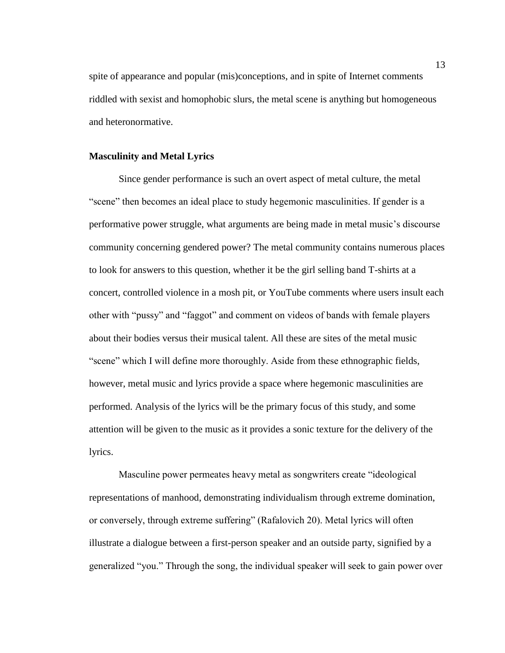spite of appearance and popular (mis)conceptions, and in spite of Internet comments riddled with sexist and homophobic slurs, the metal scene is anything but homogeneous and heteronormative.

#### **Masculinity and Metal Lyrics**

Since gender performance is such an overt aspect of metal culture, the metal "scene" then becomes an ideal place to study hegemonic masculinities. If gender is a performative power struggle, what arguments are being made in metal music's discourse community concerning gendered power? The metal community contains numerous places to look for answers to this question, whether it be the girl selling band T-shirts at a concert, controlled violence in a mosh pit, or YouTube comments where users insult each other with "pussy" and "faggot" and comment on videos of bands with female players about their bodies versus their musical talent. All these are sites of the metal music "scene" which I will define more thoroughly. Aside from these ethnographic fields, however, metal music and lyrics provide a space where hegemonic masculinities are performed. Analysis of the lyrics will be the primary focus of this study, and some attention will be given to the music as it provides a sonic texture for the delivery of the lyrics.

Masculine power permeates heavy metal as songwriters create "ideological representations of manhood, demonstrating individualism through extreme domination, or conversely, through extreme suffering" (Rafalovich 20). Metal lyrics will often illustrate a dialogue between a first-person speaker and an outside party, signified by a generalized "you." Through the song, the individual speaker will seek to gain power over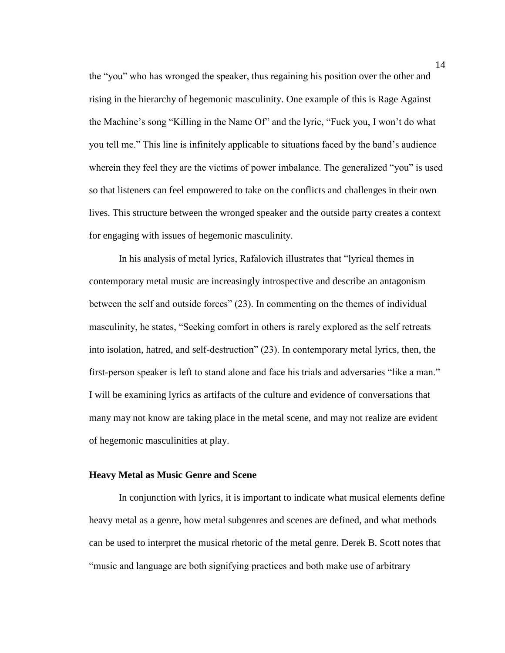the "you" who has wronged the speaker, thus regaining his position over the other and rising in the hierarchy of hegemonic masculinity. One example of this is Rage Against the Machine's song "Killing in the Name Of" and the lyric, "Fuck you, I won't do what you tell me." This line is infinitely applicable to situations faced by the band's audience wherein they feel they are the victims of power imbalance. The generalized "you" is used so that listeners can feel empowered to take on the conflicts and challenges in their own lives. This structure between the wronged speaker and the outside party creates a context for engaging with issues of hegemonic masculinity.

In his analysis of metal lyrics, Rafalovich illustrates that "lyrical themes in contemporary metal music are increasingly introspective and describe an antagonism between the self and outside forces" (23). In commenting on the themes of individual masculinity, he states, "Seeking comfort in others is rarely explored as the self retreats into isolation, hatred, and self-destruction" (23). In contemporary metal lyrics, then, the first-person speaker is left to stand alone and face his trials and adversaries "like a man." I will be examining lyrics as artifacts of the culture and evidence of conversations that many may not know are taking place in the metal scene, and may not realize are evident of hegemonic masculinities at play.

#### **Heavy Metal as Music Genre and Scene**

In conjunction with lyrics, it is important to indicate what musical elements define heavy metal as a genre, how metal subgenres and scenes are defined, and what methods can be used to interpret the musical rhetoric of the metal genre. Derek B. Scott notes that "music and language are both signifying practices and both make use of arbitrary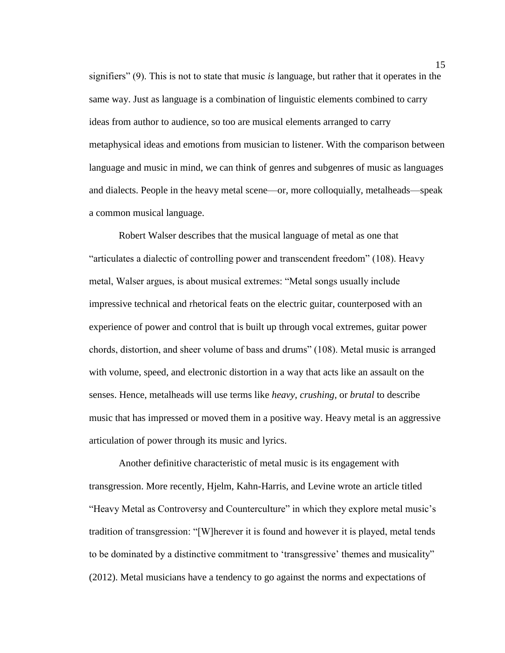signifiers" (9). This is not to state that music *is* language, but rather that it operates in the same way. Just as language is a combination of linguistic elements combined to carry ideas from author to audience, so too are musical elements arranged to carry metaphysical ideas and emotions from musician to listener. With the comparison between language and music in mind, we can think of genres and subgenres of music as languages and dialects. People in the heavy metal scene—or, more colloquially, metalheads—speak a common musical language.

Robert Walser describes that the musical language of metal as one that "articulates a dialectic of controlling power and transcendent freedom" (108). Heavy metal, Walser argues, is about musical extremes: "Metal songs usually include impressive technical and rhetorical feats on the electric guitar, counterposed with an experience of power and control that is built up through vocal extremes, guitar power chords, distortion, and sheer volume of bass and drums" (108). Metal music is arranged with volume, speed, and electronic distortion in a way that acts like an assault on the senses. Hence, metalheads will use terms like *heavy*, *crushing*, or *brutal* to describe music that has impressed or moved them in a positive way. Heavy metal is an aggressive articulation of power through its music and lyrics.

Another definitive characteristic of metal music is its engagement with transgression. More recently, Hjelm, Kahn-Harris, and Levine wrote an article titled "Heavy Metal as Controversy and Counterculture" in which they explore metal music's tradition of transgression: "[W]herever it is found and however it is played, metal tends to be dominated by a distinctive commitment to 'transgressive' themes and musicality" (2012). Metal musicians have a tendency to go against the norms and expectations of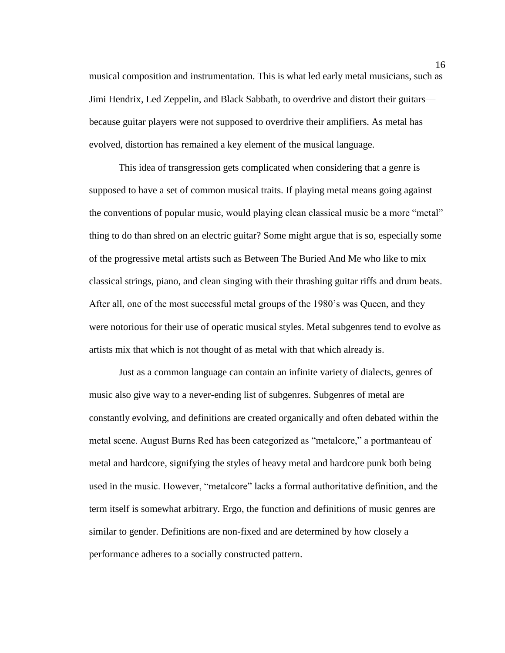musical composition and instrumentation. This is what led early metal musicians, such as Jimi Hendrix, Led Zeppelin, and Black Sabbath, to overdrive and distort their guitars because guitar players were not supposed to overdrive their amplifiers. As metal has evolved, distortion has remained a key element of the musical language.

This idea of transgression gets complicated when considering that a genre is supposed to have a set of common musical traits. If playing metal means going against the conventions of popular music, would playing clean classical music be a more "metal" thing to do than shred on an electric guitar? Some might argue that is so, especially some of the progressive metal artists such as Between The Buried And Me who like to mix classical strings, piano, and clean singing with their thrashing guitar riffs and drum beats. After all, one of the most successful metal groups of the 1980's was Queen, and they were notorious for their use of operatic musical styles. Metal subgenres tend to evolve as artists mix that which is not thought of as metal with that which already is.

Just as a common language can contain an infinite variety of dialects, genres of music also give way to a never-ending list of subgenres. Subgenres of metal are constantly evolving, and definitions are created organically and often debated within the metal scene. August Burns Red has been categorized as "metalcore," a portmanteau of metal and hardcore, signifying the styles of heavy metal and hardcore punk both being used in the music. However, "metalcore" lacks a formal authoritative definition, and the term itself is somewhat arbitrary. Ergo, the function and definitions of music genres are similar to gender. Definitions are non-fixed and are determined by how closely a performance adheres to a socially constructed pattern.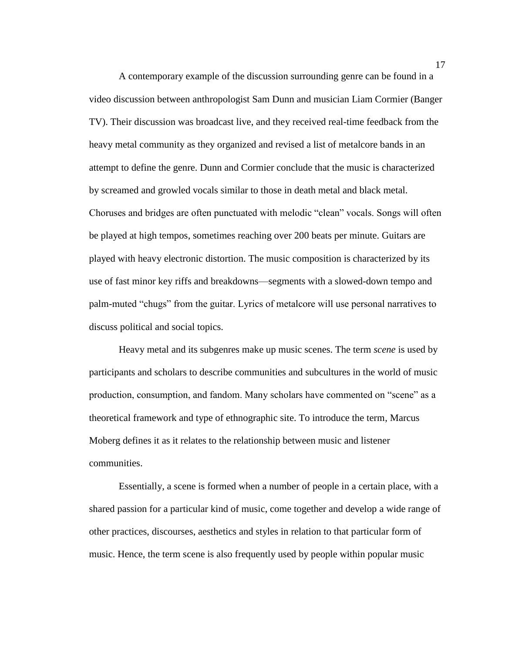A contemporary example of the discussion surrounding genre can be found in a video discussion between anthropologist Sam Dunn and musician Liam Cormier (Banger TV). Their discussion was broadcast live, and they received real-time feedback from the heavy metal community as they organized and revised a list of metalcore bands in an attempt to define the genre. Dunn and Cormier conclude that the music is characterized by screamed and growled vocals similar to those in death metal and black metal. Choruses and bridges are often punctuated with melodic "clean" vocals. Songs will often be played at high tempos, sometimes reaching over 200 beats per minute. Guitars are played with heavy electronic distortion. The music composition is characterized by its use of fast minor key riffs and breakdowns—segments with a slowed-down tempo and palm-muted "chugs" from the guitar. Lyrics of metalcore will use personal narratives to discuss political and social topics.

Heavy metal and its subgenres make up music scenes. The term *scene* is used by participants and scholars to describe communities and subcultures in the world of music production, consumption, and fandom. Many scholars have commented on "scene" as a theoretical framework and type of ethnographic site. To introduce the term, Marcus Moberg defines it as it relates to the relationship between music and listener communities.

Essentially, a scene is formed when a number of people in a certain place, with a shared passion for a particular kind of music, come together and develop a wide range of other practices, discourses, aesthetics and styles in relation to that particular form of music. Hence, the term scene is also frequently used by people within popular music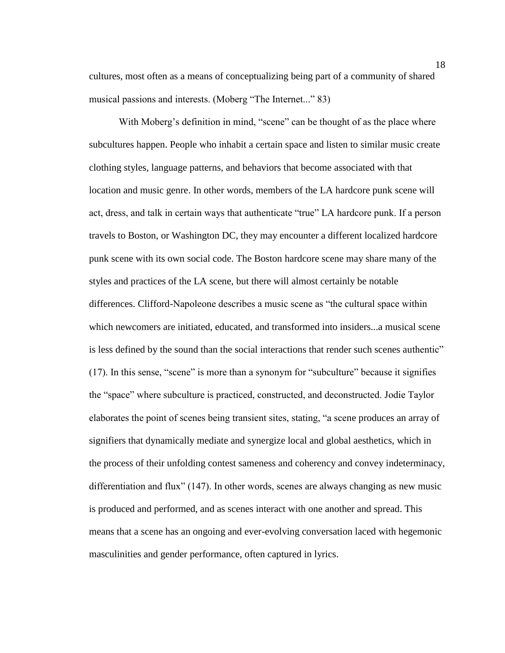cultures, most often as a means of conceptualizing being part of a community of shared musical passions and interests. (Moberg "The Internet..." 83)

With Moberg's definition in mind, "scene" can be thought of as the place where subcultures happen. People who inhabit a certain space and listen to similar music create clothing styles, language patterns, and behaviors that become associated with that location and music genre. In other words, members of the LA hardcore punk scene will act, dress, and talk in certain ways that authenticate "true" LA hardcore punk. If a person travels to Boston, or Washington DC, they may encounter a different localized hardcore punk scene with its own social code. The Boston hardcore scene may share many of the styles and practices of the LA scene, but there will almost certainly be notable differences. Clifford-Napoleone describes a music scene as "the cultural space within which newcomers are initiated, educated, and transformed into insiders...a musical scene is less defined by the sound than the social interactions that render such scenes authentic" (17). In this sense, "scene" is more than a synonym for "subculture" because it signifies the "space" where subculture is practiced, constructed, and deconstructed. Jodie Taylor elaborates the point of scenes being transient sites, stating, "a scene produces an array of signifiers that dynamically mediate and synergize local and global aesthetics, which in the process of their unfolding contest sameness and coherency and convey indeterminacy, differentiation and flux" (147). In other words, scenes are always changing as new music is produced and performed, and as scenes interact with one another and spread. This means that a scene has an ongoing and ever-evolving conversation laced with hegemonic masculinities and gender performance, often captured in lyrics.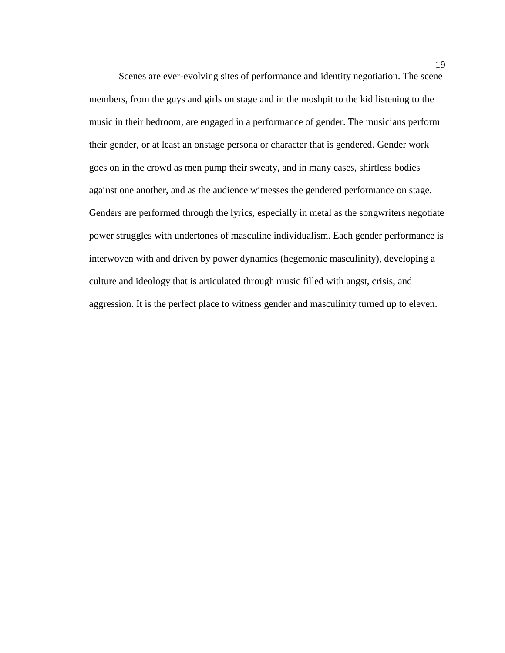Scenes are ever-evolving sites of performance and identity negotiation. The scene members, from the guys and girls on stage and in the moshpit to the kid listening to the music in their bedroom, are engaged in a performance of gender. The musicians perform their gender, or at least an onstage persona or character that is gendered. Gender work goes on in the crowd as men pump their sweaty, and in many cases, shirtless bodies against one another, and as the audience witnesses the gendered performance on stage. Genders are performed through the lyrics, especially in metal as the songwriters negotiate power struggles with undertones of masculine individualism. Each gender performance is interwoven with and driven by power dynamics (hegemonic masculinity), developing a culture and ideology that is articulated through music filled with angst, crisis, and aggression. It is the perfect place to witness gender and masculinity turned up to eleven.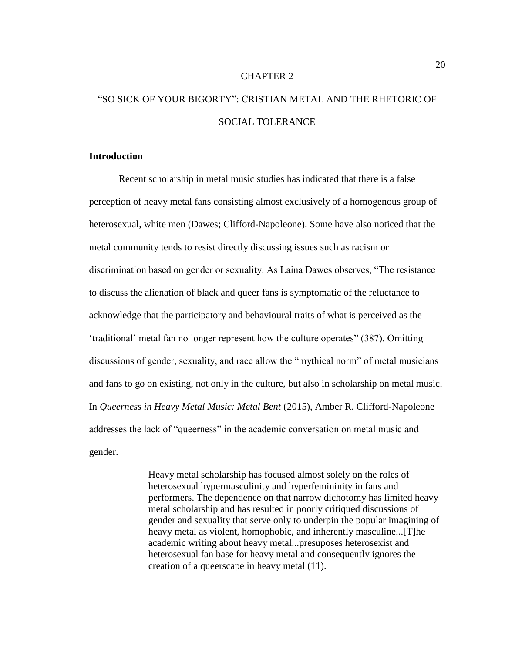#### CHAPTER 2

# "SO SICK OF YOUR BIGORTY": CRISTIAN METAL AND THE RHETORIC OF SOCIAL TOLERANCE

## **Introduction**

Recent scholarship in metal music studies has indicated that there is a false perception of heavy metal fans consisting almost exclusively of a homogenous group of heterosexual, white men (Dawes; Clifford-Napoleone). Some have also noticed that the metal community tends to resist directly discussing issues such as racism or discrimination based on gender or sexuality. As Laina Dawes observes, "The resistance to discuss the alienation of black and queer fans is symptomatic of the reluctance to acknowledge that the participatory and behavioural traits of what is perceived as the 'traditional' metal fan no longer represent how the culture operates" (387). Omitting discussions of gender, sexuality, and race allow the "mythical norm" of metal musicians and fans to go on existing, not only in the culture, but also in scholarship on metal music. In *Queerness in Heavy Metal Music: Metal Bent* (2015), Amber R. Clifford-Napoleone addresses the lack of "queerness" in the academic conversation on metal music and gender.

> Heavy metal scholarship has focused almost solely on the roles of heterosexual hypermasculinity and hyperfemininity in fans and performers. The dependence on that narrow dichotomy has limited heavy metal scholarship and has resulted in poorly critiqued discussions of gender and sexuality that serve only to underpin the popular imagining of heavy metal as violent, homophobic, and inherently masculine...[T]he academic writing about heavy metal...presuposes heterosexist and heterosexual fan base for heavy metal and consequently ignores the creation of a queerscape in heavy metal (11).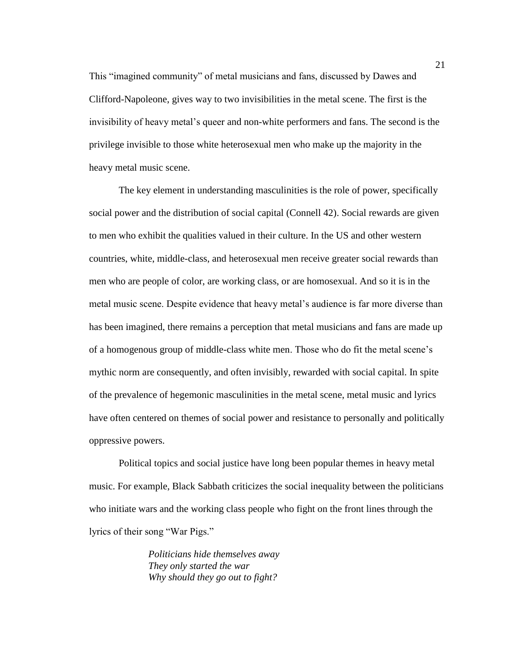This "imagined community" of metal musicians and fans, discussed by Dawes and Clifford-Napoleone, gives way to two invisibilities in the metal scene. The first is the invisibility of heavy metal's queer and non-white performers and fans. The second is the privilege invisible to those white heterosexual men who make up the majority in the heavy metal music scene.

The key element in understanding masculinities is the role of power, specifically social power and the distribution of social capital (Connell 42). Social rewards are given to men who exhibit the qualities valued in their culture. In the US and other western countries, white, middle-class, and heterosexual men receive greater social rewards than men who are people of color, are working class, or are homosexual. And so it is in the metal music scene. Despite evidence that heavy metal's audience is far more diverse than has been imagined, there remains a perception that metal musicians and fans are made up of a homogenous group of middle-class white men. Those who do fit the metal scene's mythic norm are consequently, and often invisibly, rewarded with social capital. In spite of the prevalence of hegemonic masculinities in the metal scene, metal music and lyrics have often centered on themes of social power and resistance to personally and politically oppressive powers.

Political topics and social justice have long been popular themes in heavy metal music. For example, Black Sabbath criticizes the social inequality between the politicians who initiate wars and the working class people who fight on the front lines through the lyrics of their song "War Pigs."

> *Politicians hide themselves away They only started the war Why should they go out to fight?*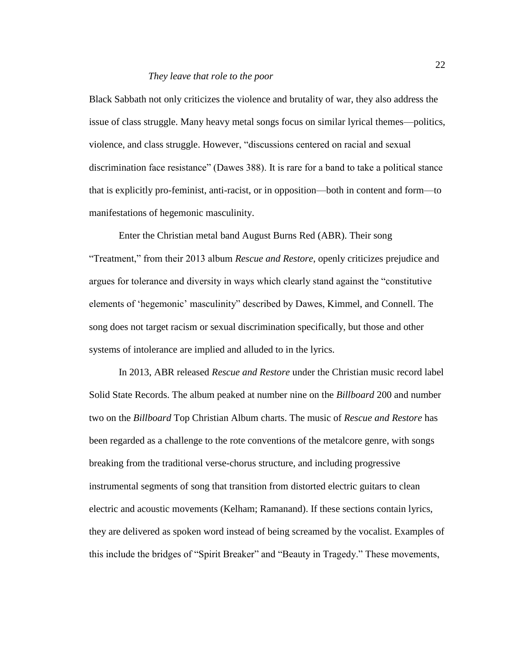### *They leave that role to the poor*

Black Sabbath not only criticizes the violence and brutality of war, they also address the issue of class struggle. Many heavy metal songs focus on similar lyrical themes—politics, violence, and class struggle. However, "discussions centered on racial and sexual discrimination face resistance" (Dawes 388). It is rare for a band to take a political stance that is explicitly pro-feminist, anti-racist, or in opposition—both in content and form—to manifestations of hegemonic masculinity.

Enter the Christian metal band August Burns Red (ABR). Their song "Treatment," from their 2013 album *Rescue and Restore*, openly criticizes prejudice and argues for tolerance and diversity in ways which clearly stand against the "constitutive elements of 'hegemonic' masculinity" described by Dawes, Kimmel, and Connell. The song does not target racism or sexual discrimination specifically, but those and other systems of intolerance are implied and alluded to in the lyrics.

In 2013, ABR released *Rescue and Restore* under the Christian music record label Solid State Records. The album peaked at number nine on the *Billboard* 200 and number two on the *Billboard* Top Christian Album charts. The music of *Rescue and Restore* has been regarded as a challenge to the rote conventions of the metalcore genre, with songs breaking from the traditional verse-chorus structure, and including progressive instrumental segments of song that transition from distorted electric guitars to clean electric and acoustic movements (Kelham; Ramanand). If these sections contain lyrics, they are delivered as spoken word instead of being screamed by the vocalist. Examples of this include the bridges of "Spirit Breaker" and "Beauty in Tragedy." These movements,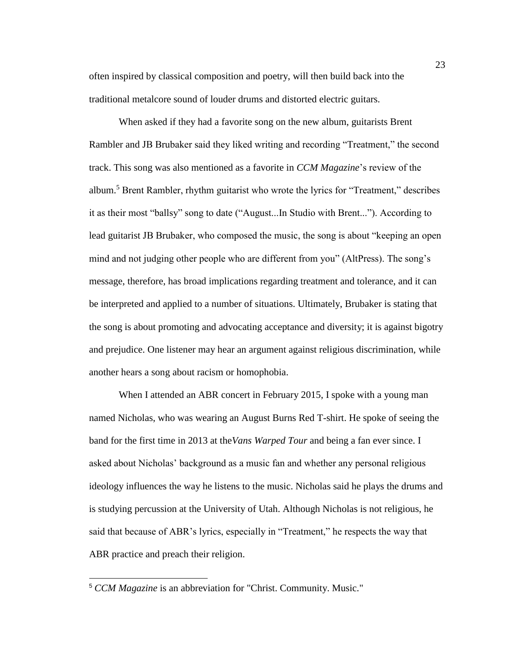often inspired by classical composition and poetry, will then build back into the traditional metalcore sound of louder drums and distorted electric guitars.

When asked if they had a favorite song on the new album, guitarists Brent Rambler and JB Brubaker said they liked writing and recording "Treatment," the second track. This song was also mentioned as a favorite in *CCM Magazine*'s review of the album.<sup>5</sup> Brent Rambler, rhythm guitarist who wrote the lyrics for "Treatment," describes it as their most "ballsy" song to date ("August...In Studio with Brent..."). According to lead guitarist JB Brubaker, who composed the music, the song is about "keeping an open mind and not judging other people who are different from you" (AltPress). The song's message, therefore, has broad implications regarding treatment and tolerance, and it can be interpreted and applied to a number of situations. Ultimately, Brubaker is stating that the song is about promoting and advocating acceptance and diversity; it is against bigotry and prejudice. One listener may hear an argument against religious discrimination, while another hears a song about racism or homophobia.

When I attended an ABR concert in February 2015, I spoke with a young man named Nicholas, who was wearing an August Burns Red T-shirt. He spoke of seeing the band for the first time in 2013 at the*Vans Warped Tour* and being a fan ever since. I asked about Nicholas' background as a music fan and whether any personal religious ideology influences the way he listens to the music. Nicholas said he plays the drums and is studying percussion at the University of Utah. Although Nicholas is not religious, he said that because of ABR's lyrics, especially in "Treatment," he respects the way that ABR practice and preach their religion.

<sup>5</sup> *CCM Magazine* is an abbreviation for "Christ. Community. Music."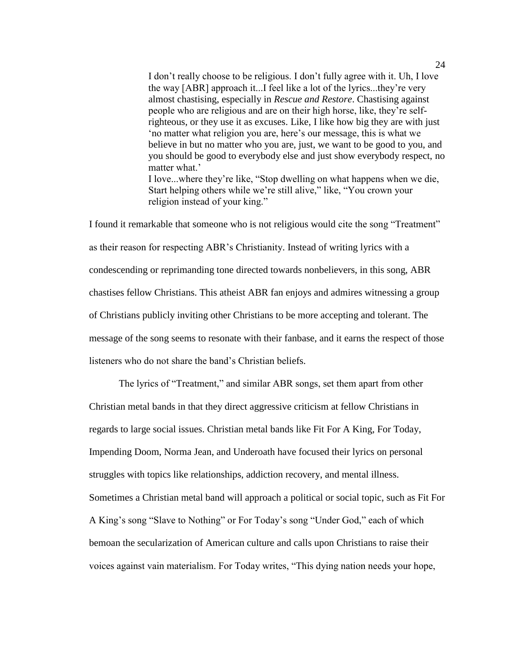I don't really choose to be religious. I don't fully agree with it. Uh, I love the way [ABR] approach it...I feel like a lot of the lyrics...they're very almost chastising, especially in *Rescue and Restore*. Chastising against people who are religious and are on their high horse, like, they're selfrighteous, or they use it as excuses. Like, I like how big they are with just 'no matter what religion you are, here's our message, this is what we believe in but no matter who you are, just, we want to be good to you, and you should be good to everybody else and just show everybody respect, no matter what.' I love...where they're like, "Stop dwelling on what happens when we die,

Start helping others while we're still alive," like, "You crown your religion instead of your king."

I found it remarkable that someone who is not religious would cite the song "Treatment" as their reason for respecting ABR's Christianity. Instead of writing lyrics with a condescending or reprimanding tone directed towards nonbelievers, in this song, ABR chastises fellow Christians. This atheist ABR fan enjoys and admires witnessing a group of Christians publicly inviting other Christians to be more accepting and tolerant. The message of the song seems to resonate with their fanbase, and it earns the respect of those listeners who do not share the band's Christian beliefs.

The lyrics of "Treatment," and similar ABR songs, set them apart from other Christian metal bands in that they direct aggressive criticism at fellow Christians in regards to large social issues. Christian metal bands like Fit For A King, For Today, Impending Doom, Norma Jean, and Underoath have focused their lyrics on personal struggles with topics like relationships, addiction recovery, and mental illness. Sometimes a Christian metal band will approach a political or social topic, such as Fit For A King's song "Slave to Nothing" or For Today's song "Under God," each of which bemoan the secularization of American culture and calls upon Christians to raise their voices against vain materialism. For Today writes, "This dying nation needs your hope,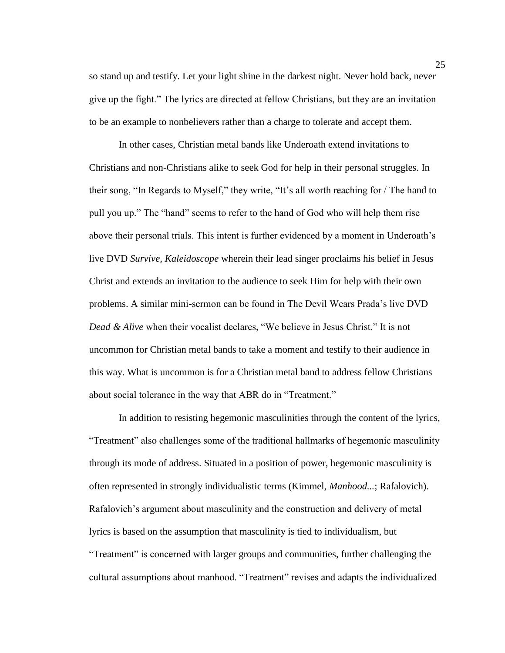so stand up and testify. Let your light shine in the darkest night. Never hold back, never give up the fight." The lyrics are directed at fellow Christians, but they are an invitation to be an example to nonbelievers rather than a charge to tolerate and accept them.

In other cases, Christian metal bands like Underoath extend invitations to Christians and non-Christians alike to seek God for help in their personal struggles. In their song, "In Regards to Myself," they write, "It's all worth reaching for / The hand to pull you up." The "hand" seems to refer to the hand of God who will help them rise above their personal trials. This intent is further evidenced by a moment in Underoath's live DVD *Survive, Kaleidoscope* wherein their lead singer proclaims his belief in Jesus Christ and extends an invitation to the audience to seek Him for help with their own problems. A similar mini-sermon can be found in The Devil Wears Prada's live DVD *Dead & Alive* when their vocalist declares, "We believe in Jesus Christ." It is not uncommon for Christian metal bands to take a moment and testify to their audience in this way. What is uncommon is for a Christian metal band to address fellow Christians about social tolerance in the way that ABR do in "Treatment."

In addition to resisting hegemonic masculinities through the content of the lyrics, "Treatment" also challenges some of the traditional hallmarks of hegemonic masculinity through its mode of address. Situated in a position of power, hegemonic masculinity is often represented in strongly individualistic terms (Kimmel, *Manhood...*; Rafalovich). Rafalovich's argument about masculinity and the construction and delivery of metal lyrics is based on the assumption that masculinity is tied to individualism, but "Treatment" is concerned with larger groups and communities, further challenging the cultural assumptions about manhood. "Treatment" revises and adapts the individualized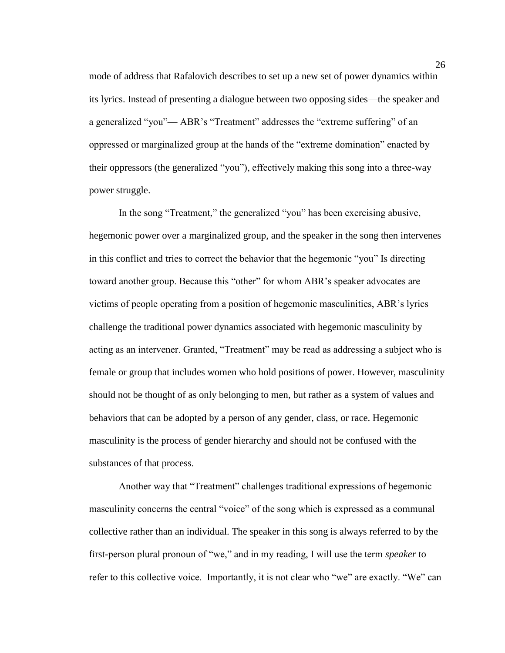mode of address that Rafalovich describes to set up a new set of power dynamics within its lyrics. Instead of presenting a dialogue between two opposing sides—the speaker and a generalized "you"— ABR's "Treatment" addresses the "extreme suffering" of an oppressed or marginalized group at the hands of the "extreme domination" enacted by their oppressors (the generalized "you"), effectively making this song into a three-way power struggle.

In the song "Treatment," the generalized "you" has been exercising abusive, hegemonic power over a marginalized group, and the speaker in the song then intervenes in this conflict and tries to correct the behavior that the hegemonic "you" Is directing toward another group. Because this "other" for whom ABR's speaker advocates are victims of people operating from a position of hegemonic masculinities, ABR's lyrics challenge the traditional power dynamics associated with hegemonic masculinity by acting as an intervener. Granted, "Treatment" may be read as addressing a subject who is female or group that includes women who hold positions of power. However, masculinity should not be thought of as only belonging to men, but rather as a system of values and behaviors that can be adopted by a person of any gender, class, or race. Hegemonic masculinity is the process of gender hierarchy and should not be confused with the substances of that process.

Another way that "Treatment" challenges traditional expressions of hegemonic masculinity concerns the central "voice" of the song which is expressed as a communal collective rather than an individual. The speaker in this song is always referred to by the first-person plural pronoun of "we," and in my reading, I will use the term *speaker* to refer to this collective voice. Importantly, it is not clear who "we" are exactly. "We" can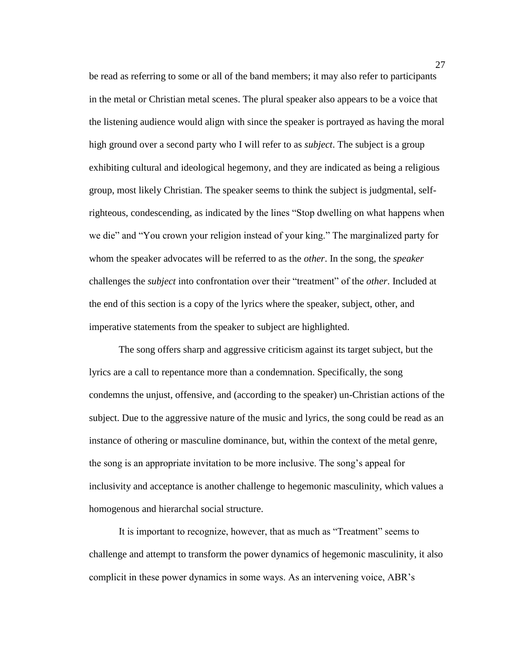be read as referring to some or all of the band members; it may also refer to participants in the metal or Christian metal scenes. The plural speaker also appears to be a voice that the listening audience would align with since the speaker is portrayed as having the moral high ground over a second party who I will refer to as *subject*. The subject is a group exhibiting cultural and ideological hegemony, and they are indicated as being a religious group, most likely Christian. The speaker seems to think the subject is judgmental, selfrighteous, condescending, as indicated by the lines "Stop dwelling on what happens when we die" and "You crown your religion instead of your king." The marginalized party for whom the speaker advocates will be referred to as the *other*. In the song, the *speaker* challenges the *subject* into confrontation over their "treatment" of the *other*. Included at the end of this section is a copy of the lyrics where the speaker, subject, other, and imperative statements from the speaker to subject are highlighted.

The song offers sharp and aggressive criticism against its target subject, but the lyrics are a call to repentance more than a condemnation. Specifically, the song condemns the unjust, offensive, and (according to the speaker) un-Christian actions of the subject. Due to the aggressive nature of the music and lyrics, the song could be read as an instance of othering or masculine dominance, but, within the context of the metal genre, the song is an appropriate invitation to be more inclusive. The song's appeal for inclusivity and acceptance is another challenge to hegemonic masculinity, which values a homogenous and hierarchal social structure.

It is important to recognize, however, that as much as "Treatment" seems to challenge and attempt to transform the power dynamics of hegemonic masculinity, it also complicit in these power dynamics in some ways. As an intervening voice, ABR's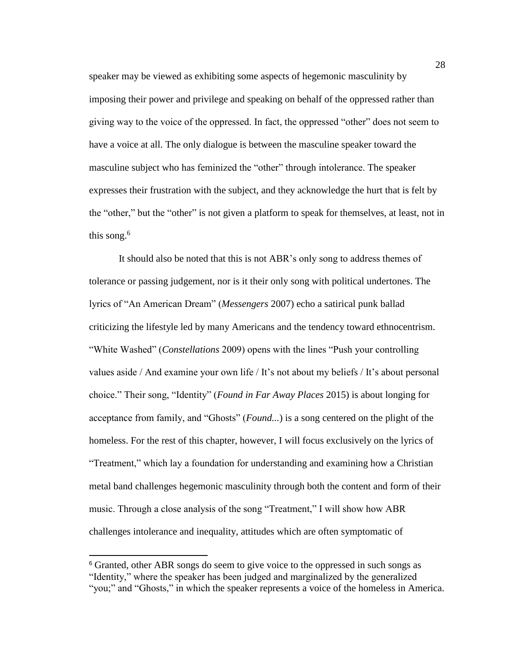speaker may be viewed as exhibiting some aspects of hegemonic masculinity by imposing their power and privilege and speaking on behalf of the oppressed rather than giving way to the voice of the oppressed. In fact, the oppressed "other" does not seem to have a voice at all. The only dialogue is between the masculine speaker toward the masculine subject who has feminized the "other" through intolerance. The speaker expresses their frustration with the subject, and they acknowledge the hurt that is felt by the "other," but the "other" is not given a platform to speak for themselves, at least, not in this song. $6$ 

It should also be noted that this is not ABR's only song to address themes of tolerance or passing judgement, nor is it their only song with political undertones. The lyrics of "An American Dream" (*Messengers* 2007) echo a satirical punk ballad criticizing the lifestyle led by many Americans and the tendency toward ethnocentrism. "White Washed" (*Constellations* 2009) opens with the lines "Push your controlling values aside / And examine your own life / It's not about my beliefs / It's about personal choice." Their song, "Identity" (*Found in Far Away Places* 2015) is about longing for acceptance from family, and "Ghosts" (*Found...*) is a song centered on the plight of the homeless. For the rest of this chapter, however, I will focus exclusively on the lyrics of "Treatment," which lay a foundation for understanding and examining how a Christian metal band challenges hegemonic masculinity through both the content and form of their music. Through a close analysis of the song "Treatment," I will show how ABR challenges intolerance and inequality, attitudes which are often symptomatic of

 $\overline{a}$ 

<sup>6</sup> Granted, other ABR songs do seem to give voice to the oppressed in such songs as "Identity," where the speaker has been judged and marginalized by the generalized

<sup>&</sup>quot;you;" and "Ghosts," in which the speaker represents a voice of the homeless in America.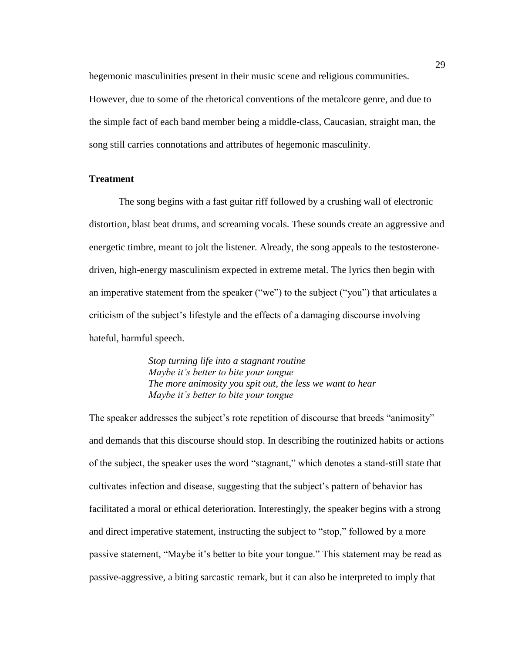hegemonic masculinities present in their music scene and religious communities.

However, due to some of the rhetorical conventions of the metalcore genre, and due to the simple fact of each band member being a middle-class, Caucasian, straight man, the song still carries connotations and attributes of hegemonic masculinity.

## **Treatment**

The song begins with a fast guitar riff followed by a crushing wall of electronic distortion, blast beat drums, and screaming vocals. These sounds create an aggressive and energetic timbre, meant to jolt the listener. Already, the song appeals to the testosteronedriven, high-energy masculinism expected in extreme metal. The lyrics then begin with an imperative statement from the speaker ("we") to the subject ("you") that articulates a criticism of the subject's lifestyle and the effects of a damaging discourse involving hateful, harmful speech.

> *Stop turning life into a stagnant routine Maybe it's better to bite your tongue The more animosity you spit out, the less we want to hear Maybe it's better to bite your tongue*

The speaker addresses the subject's rote repetition of discourse that breeds "animosity" and demands that this discourse should stop. In describing the routinized habits or actions of the subject, the speaker uses the word "stagnant," which denotes a stand-still state that cultivates infection and disease, suggesting that the subject's pattern of behavior has facilitated a moral or ethical deterioration. Interestingly, the speaker begins with a strong and direct imperative statement, instructing the subject to "stop," followed by a more passive statement, "Maybe it's better to bite your tongue." This statement may be read as passive-aggressive, a biting sarcastic remark, but it can also be interpreted to imply that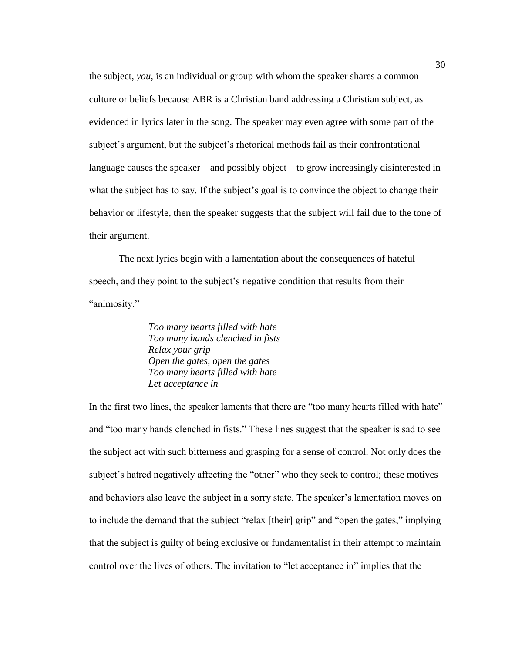the subject, *you*, is an individual or group with whom the speaker shares a common culture or beliefs because ABR is a Christian band addressing a Christian subject, as evidenced in lyrics later in the song. The speaker may even agree with some part of the subject's argument, but the subject's rhetorical methods fail as their confrontational language causes the speaker—and possibly object—to grow increasingly disinterested in what the subject has to say. If the subject's goal is to convince the object to change their behavior or lifestyle, then the speaker suggests that the subject will fail due to the tone of their argument.

The next lyrics begin with a lamentation about the consequences of hateful speech, and they point to the subject's negative condition that results from their "animosity."

> *Too many hearts filled with hate Too many hands clenched in fists Relax your grip Open the gates, open the gates Too many hearts filled with hate Let acceptance in*

In the first two lines, the speaker laments that there are "too many hearts filled with hate" and "too many hands clenched in fists." These lines suggest that the speaker is sad to see the subject act with such bitterness and grasping for a sense of control. Not only does the subject's hatred negatively affecting the "other" who they seek to control; these motives and behaviors also leave the subject in a sorry state. The speaker's lamentation moves on to include the demand that the subject "relax [their] grip" and "open the gates," implying that the subject is guilty of being exclusive or fundamentalist in their attempt to maintain control over the lives of others. The invitation to "let acceptance in" implies that the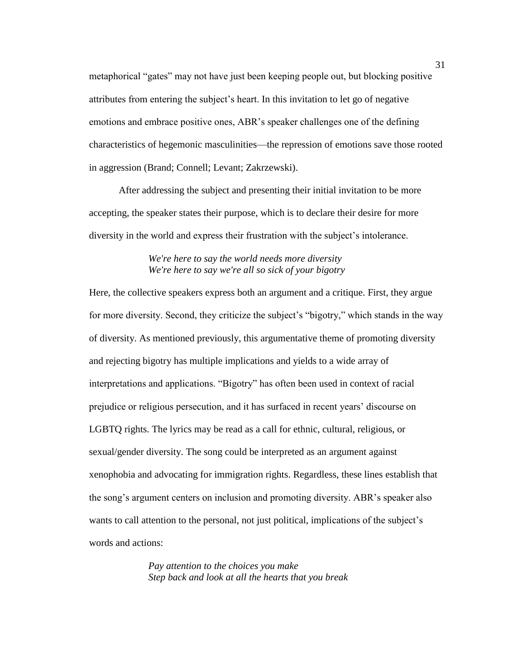metaphorical "gates" may not have just been keeping people out, but blocking positive attributes from entering the subject's heart. In this invitation to let go of negative emotions and embrace positive ones, ABR's speaker challenges one of the defining characteristics of hegemonic masculinities—the repression of emotions save those rooted in aggression (Brand; Connell; Levant; Zakrzewski).

After addressing the subject and presenting their initial invitation to be more accepting, the speaker states their purpose, which is to declare their desire for more diversity in the world and express their frustration with the subject's intolerance.

> *We're here to say the world needs more diversity We're here to say we're all so sick of your bigotry*

Here, the collective speakers express both an argument and a critique. First, they argue for more diversity. Second, they criticize the subject's "bigotry," which stands in the way of diversity. As mentioned previously, this argumentative theme of promoting diversity and rejecting bigotry has multiple implications and yields to a wide array of interpretations and applications. "Bigotry" has often been used in context of racial prejudice or religious persecution, and it has surfaced in recent years' discourse on LGBTQ rights. The lyrics may be read as a call for ethnic, cultural, religious, or sexual/gender diversity. The song could be interpreted as an argument against xenophobia and advocating for immigration rights. Regardless, these lines establish that the song's argument centers on inclusion and promoting diversity. ABR's speaker also wants to call attention to the personal, not just political, implications of the subject's words and actions:

> *Pay attention to the choices you make Step back and look at all the hearts that you break*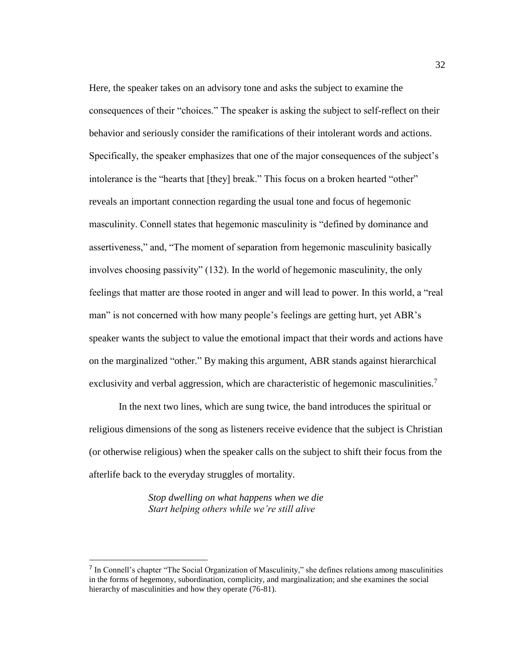Here, the speaker takes on an advisory tone and asks the subject to examine the consequences of their "choices." The speaker is asking the subject to self-reflect on their behavior and seriously consider the ramifications of their intolerant words and actions. Specifically, the speaker emphasizes that one of the major consequences of the subject's intolerance is the "hearts that [they] break." This focus on a broken hearted "other" reveals an important connection regarding the usual tone and focus of hegemonic masculinity. Connell states that hegemonic masculinity is "defined by dominance and assertiveness," and, "The moment of separation from hegemonic masculinity basically involves choosing passivity" (132). In the world of hegemonic masculinity, the only feelings that matter are those rooted in anger and will lead to power. In this world, a "real man" is not concerned with how many people's feelings are getting hurt, yet ABR's speaker wants the subject to value the emotional impact that their words and actions have on the marginalized "other." By making this argument, ABR stands against hierarchical exclusivity and verbal aggression, which are characteristic of hegemonic masculinities.<sup>7</sup>

In the next two lines, which are sung twice, the band introduces the spiritual or religious dimensions of the song as listeners receive evidence that the subject is Christian (or otherwise religious) when the speaker calls on the subject to shift their focus from the afterlife back to the everyday struggles of mortality.

> *Stop dwelling on what happens when we die Start helping others while we're still alive*

 $\overline{a}$ 

<sup>&</sup>lt;sup>7</sup> In Connell's chapter "The Social Organization of Masculinity," she defines relations among masculinities in the forms of hegemony, subordination, complicity, and marginalization; and she examines the social hierarchy of masculinities and how they operate  $(76-81)$ .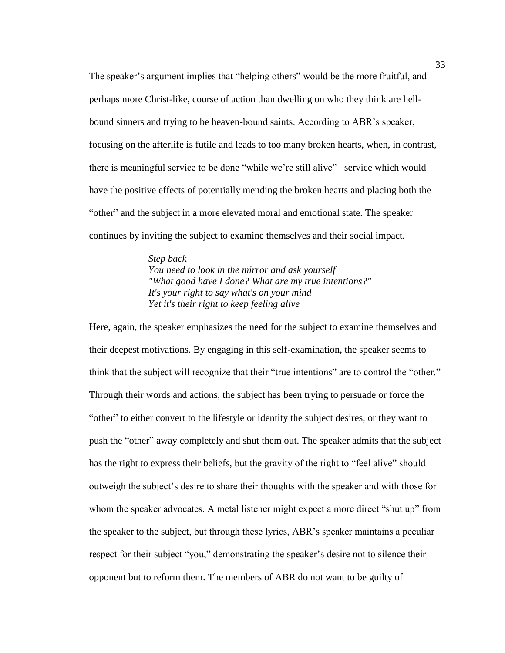The speaker's argument implies that "helping others" would be the more fruitful, and perhaps more Christ-like, course of action than dwelling on who they think are hellbound sinners and trying to be heaven-bound saints. According to ABR's speaker, focusing on the afterlife is futile and leads to too many broken hearts, when, in contrast, there is meaningful service to be done "while we're still alive" –service which would have the positive effects of potentially mending the broken hearts and placing both the "other" and the subject in a more elevated moral and emotional state. The speaker continues by inviting the subject to examine themselves and their social impact.

> *Step back You need to look in the mirror and ask yourself "What good have I done? What are my true intentions?" It's your right to say what's on your mind Yet it's their right to keep feeling alive*

Here, again, the speaker emphasizes the need for the subject to examine themselves and their deepest motivations. By engaging in this self-examination, the speaker seems to think that the subject will recognize that their "true intentions" are to control the "other." Through their words and actions, the subject has been trying to persuade or force the "other" to either convert to the lifestyle or identity the subject desires, or they want to push the "other" away completely and shut them out. The speaker admits that the subject has the right to express their beliefs, but the gravity of the right to "feel alive" should outweigh the subject's desire to share their thoughts with the speaker and with those for whom the speaker advocates. A metal listener might expect a more direct "shut up" from the speaker to the subject, but through these lyrics, ABR's speaker maintains a peculiar respect for their subject "you," demonstrating the speaker's desire not to silence their opponent but to reform them. The members of ABR do not want to be guilty of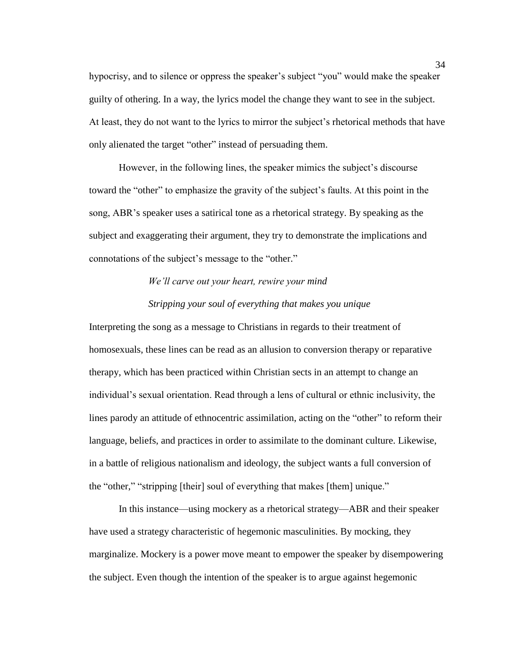hypocrisy, and to silence or oppress the speaker's subject "you" would make the speaker guilty of othering. In a way, the lyrics model the change they want to see in the subject. At least, they do not want to the lyrics to mirror the subject's rhetorical methods that have only alienated the target "other" instead of persuading them.

However, in the following lines, the speaker mimics the subject's discourse toward the "other" to emphasize the gravity of the subject's faults. At this point in the song, ABR's speaker uses a satirical tone as a rhetorical strategy. By speaking as the subject and exaggerating their argument, they try to demonstrate the implications and connotations of the subject's message to the "other."

# *We'll carve out your heart, rewire your mind*

## *Stripping your soul of everything that makes you unique*

Interpreting the song as a message to Christians in regards to their treatment of homosexuals, these lines can be read as an allusion to conversion therapy or reparative therapy, which has been practiced within Christian sects in an attempt to change an individual's sexual orientation. Read through a lens of cultural or ethnic inclusivity, the lines parody an attitude of ethnocentric assimilation, acting on the "other" to reform their language, beliefs, and practices in order to assimilate to the dominant culture. Likewise, in a battle of religious nationalism and ideology, the subject wants a full conversion of the "other," "stripping [their] soul of everything that makes [them] unique."

In this instance—using mockery as a rhetorical strategy—ABR and their speaker have used a strategy characteristic of hegemonic masculinities. By mocking, they marginalize. Mockery is a power move meant to empower the speaker by disempowering the subject. Even though the intention of the speaker is to argue against hegemonic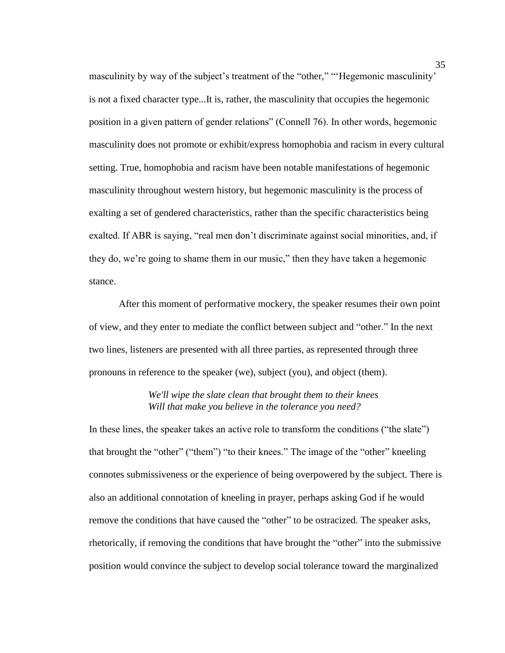masculinity by way of the subject's treatment of the "other," "'Hegemonic masculinity' is not a fixed character type...It is, rather, the masculinity that occupies the hegemonic position in a given pattern of gender relations" (Connell 76). In other words, hegemonic masculinity does not promote or exhibit/express homophobia and racism in every cultural setting. True, homophobia and racism have been notable manifestations of hegemonic masculinity throughout western history, but hegemonic masculinity is the process of exalting a set of gendered characteristics, rather than the specific characteristics being exalted. If ABR is saying, "real men don't discriminate against social minorities, and, if they do, we're going to shame them in our music," then they have taken a hegemonic stance.

After this moment of performative mockery, the speaker resumes their own point of view, and they enter to mediate the conflict between subject and "other." In the next two lines, listeners are presented with all three parties, as represented through three pronouns in reference to the speaker (we), subject (you), and object (them).

# *We'll wipe the slate clean that brought them to their knees Will that make you believe in the tolerance you need?*

In these lines, the speaker takes an active role to transform the conditions ("the slate") that brought the "other" ("them") "to their knees." The image of the "other" kneeling connotes submissiveness or the experience of being overpowered by the subject. There is also an additional connotation of kneeling in prayer, perhaps asking God if he would remove the conditions that have caused the "other" to be ostracized. The speaker asks, rhetorically, if removing the conditions that have brought the "other" into the submissive position would convince the subject to develop social tolerance toward the marginalized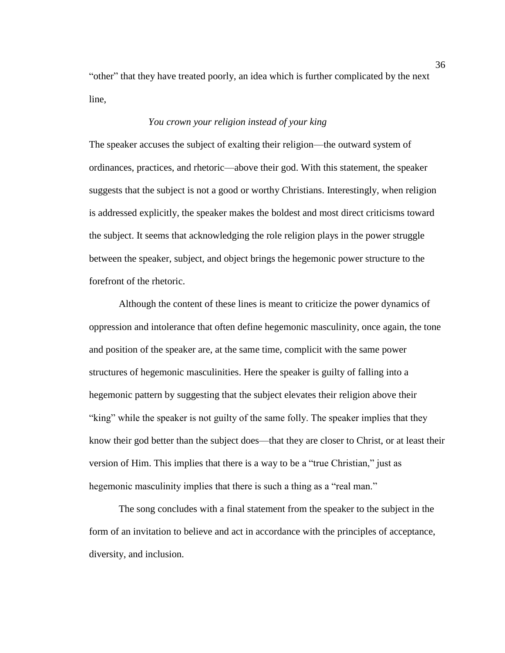"other" that they have treated poorly, an idea which is further complicated by the next line,

### *You crown your religion instead of your king*

The speaker accuses the subject of exalting their religion—the outward system of ordinances, practices, and rhetoric—above their god. With this statement, the speaker suggests that the subject is not a good or worthy Christians. Interestingly, when religion is addressed explicitly, the speaker makes the boldest and most direct criticisms toward the subject. It seems that acknowledging the role religion plays in the power struggle between the speaker, subject, and object brings the hegemonic power structure to the forefront of the rhetoric.

Although the content of these lines is meant to criticize the power dynamics of oppression and intolerance that often define hegemonic masculinity, once again, the tone and position of the speaker are, at the same time, complicit with the same power structures of hegemonic masculinities. Here the speaker is guilty of falling into a hegemonic pattern by suggesting that the subject elevates their religion above their "king" while the speaker is not guilty of the same folly. The speaker implies that they know their god better than the subject does—that they are closer to Christ, or at least their version of Him. This implies that there is a way to be a "true Christian," just as hegemonic masculinity implies that there is such a thing as a "real man."

The song concludes with a final statement from the speaker to the subject in the form of an invitation to believe and act in accordance with the principles of acceptance, diversity, and inclusion.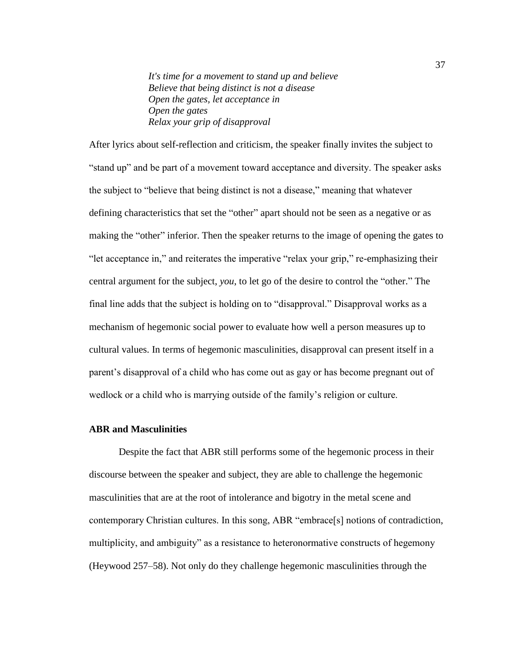*It's time for a movement to stand up and believe Believe that being distinct is not a disease Open the gates, let acceptance in Open the gates Relax your grip of disapproval*

After lyrics about self-reflection and criticism, the speaker finally invites the subject to "stand up" and be part of a movement toward acceptance and diversity. The speaker asks the subject to "believe that being distinct is not a disease," meaning that whatever defining characteristics that set the "other" apart should not be seen as a negative or as making the "other" inferior. Then the speaker returns to the image of opening the gates to "let acceptance in," and reiterates the imperative "relax your grip," re-emphasizing their central argument for the subject, *you*, to let go of the desire to control the "other." The final line adds that the subject is holding on to "disapproval." Disapproval works as a mechanism of hegemonic social power to evaluate how well a person measures up to cultural values. In terms of hegemonic masculinities, disapproval can present itself in a parent's disapproval of a child who has come out as gay or has become pregnant out of wedlock or a child who is marrying outside of the family's religion or culture.

### **ABR and Masculinities**

Despite the fact that ABR still performs some of the hegemonic process in their discourse between the speaker and subject, they are able to challenge the hegemonic masculinities that are at the root of intolerance and bigotry in the metal scene and contemporary Christian cultures. In this song, ABR "embrace[s] notions of contradiction, multiplicity, and ambiguity" as a resistance to heteronormative constructs of hegemony (Heywood 257–58). Not only do they challenge hegemonic masculinities through the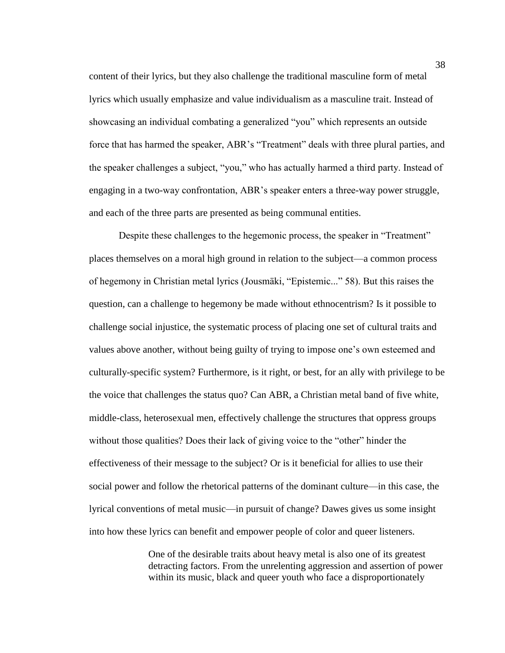content of their lyrics, but they also challenge the traditional masculine form of metal lyrics which usually emphasize and value individualism as a masculine trait. Instead of showcasing an individual combating a generalized "you" which represents an outside force that has harmed the speaker, ABR's "Treatment" deals with three plural parties, and the speaker challenges a subject, "you," who has actually harmed a third party. Instead of engaging in a two-way confrontation, ABR's speaker enters a three-way power struggle, and each of the three parts are presented as being communal entities.

Despite these challenges to the hegemonic process, the speaker in "Treatment" places themselves on a moral high ground in relation to the subject—a common process of hegemony in Christian metal lyrics (Jousmäki, "Epistemic..." 58). But this raises the question, can a challenge to hegemony be made without ethnocentrism? Is it possible to challenge social injustice, the systematic process of placing one set of cultural traits and values above another, without being guilty of trying to impose one's own esteemed and culturally-specific system? Furthermore, is it right, or best, for an ally with privilege to be the voice that challenges the status quo? Can ABR, a Christian metal band of five white, middle-class, heterosexual men, effectively challenge the structures that oppress groups without those qualities? Does their lack of giving voice to the "other" hinder the effectiveness of their message to the subject? Or is it beneficial for allies to use their social power and follow the rhetorical patterns of the dominant culture—in this case, the lyrical conventions of metal music—in pursuit of change? Dawes gives us some insight into how these lyrics can benefit and empower people of color and queer listeners.

> One of the desirable traits about heavy metal is also one of its greatest detracting factors. From the unrelenting aggression and assertion of power within its music, black and queer youth who face a disproportionately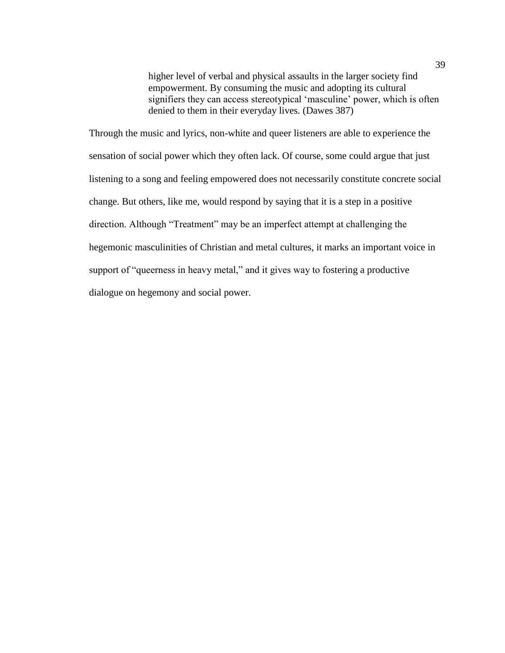higher level of verbal and physical assaults in the larger society find empowerment. By consuming the music and adopting its cultural signifiers they can access stereotypical 'masculine' power, which is often denied to them in their everyday lives. (Dawes 387)

Through the music and lyrics, non-white and queer listeners are able to experience the sensation of social power which they often lack. Of course, some could argue that just listening to a song and feeling empowered does not necessarily constitute concrete social change. But others, like me, would respond by saying that it is a step in a positive direction. Although "Treatment" may be an imperfect attempt at challenging the hegemonic masculinities of Christian and metal cultures, it marks an important voice in support of "queerness in heavy metal," and it gives way to fostering a productive dialogue on hegemony and social power.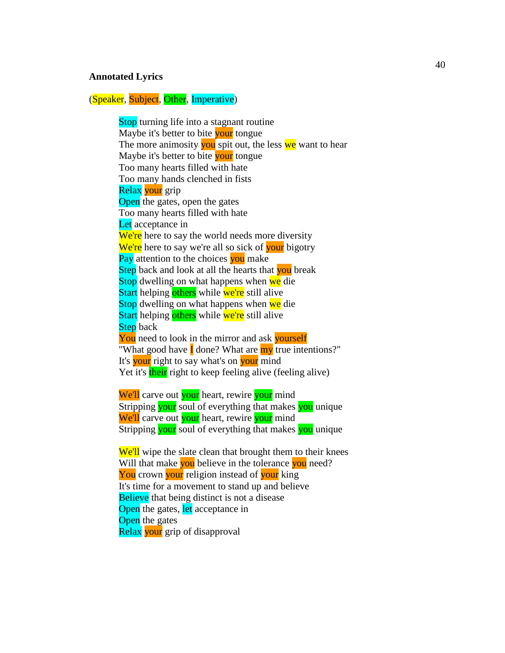### **Annotated Lyrics**

(Speaker, Subject, Other, Imperative)

Stop turning life into a stagnant routine Maybe it's better to bite your tongue The more animosity you spit out, the less we want to hear Maybe it's better to bite your tongue Too many hearts filled with hate Too many hands clenched in fists Relax your grip Open the gates, open the gates Too many hearts filled with hate Let acceptance in We're here to say the world needs more diversity We're here to say we're all so sick of your bigotry Pay attention to the choices you make Step back and look at all the hearts that you break Stop dwelling on what happens when we die Start helping others while we're still alive Stop dwelling on what happens when we die Start helping others while we're still alive **Step** back You need to look in the mirror and ask yourself "What good have **I** done? What are **my** true intentions?" It's your right to say what's on your mind Yet it's their right to keep feeling alive (feeling alive)

We'll carve out your heart, rewire your mind Stripping your soul of everything that makes you unique We'll carve out your heart, rewire your mind Stripping your soul of everything that makes you unique

We'll wipe the slate clean that brought them to their knees Will that make you believe in the tolerance you need? You crown your religion instead of your king It's time for a movement to stand up and believe Believe that being distinct is not a disease Open the gates, let acceptance in Open the gates Relax your grip of disapproval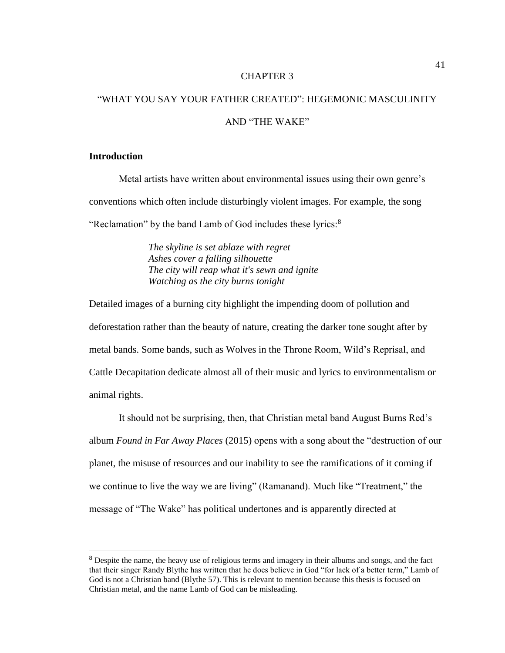### CHAPTER 3

# "WHAT YOU SAY YOUR FATHER CREATED": HEGEMONIC MASCULINITY AND "THE WAKE"

## **Introduction**

Metal artists have written about environmental issues using their own genre's conventions which often include disturbingly violent images. For example, the song "Reclamation" by the band Lamb of God includes these lyrics:<sup>8</sup>

> *The skyline is set ablaze with regret Ashes cover a falling silhouette The city will reap what it's sewn and ignite Watching as the city burns tonight*

Detailed images of a burning city highlight the impending doom of pollution and deforestation rather than the beauty of nature, creating the darker tone sought after by metal bands. Some bands, such as Wolves in the Throne Room, Wild's Reprisal, and Cattle Decapitation dedicate almost all of their music and lyrics to environmentalism or animal rights.

It should not be surprising, then, that Christian metal band August Burns Red's album *Found in Far Away Places* (2015) opens with a song about the "destruction of our planet, the misuse of resources and our inability to see the ramifications of it coming if we continue to live the way we are living" (Ramanand). Much like "Treatment," the message of "The Wake" has political undertones and is apparently directed at

<sup>&</sup>lt;sup>8</sup> Despite the name, the heavy use of religious terms and imagery in their albums and songs, and the fact that their singer Randy Blythe has written that he does believe in God "for lack of a better term," Lamb of God is not a Christian band (Blythe 57). This is relevant to mention because this thesis is focused on Christian metal, and the name Lamb of God can be misleading.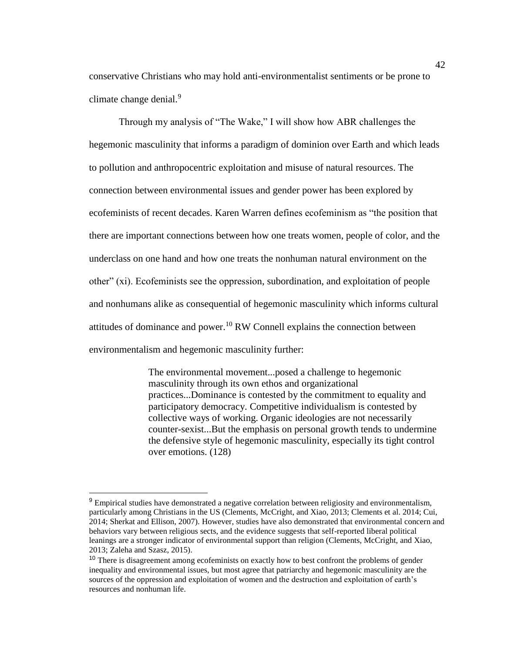conservative Christians who may hold anti-environmentalist sentiments or be prone to climate change denial.<sup>9</sup>

Through my analysis of "The Wake," I will show how ABR challenges the hegemonic masculinity that informs a paradigm of dominion over Earth and which leads to pollution and anthropocentric exploitation and misuse of natural resources. The connection between environmental issues and gender power has been explored by ecofeminists of recent decades. Karen Warren defines ecofeminism as "the position that there are important connections between how one treats women, people of color, and the underclass on one hand and how one treats the nonhuman natural environment on the other" (xi). Ecofeminists see the oppression, subordination, and exploitation of people and nonhumans alike as consequential of hegemonic masculinity which informs cultural attitudes of dominance and power.<sup>10</sup> RW Connell explains the connection between environmentalism and hegemonic masculinity further:

> The environmental movement...posed a challenge to hegemonic masculinity through its own ethos and organizational practices...Dominance is contested by the commitment to equality and participatory democracy. Competitive individualism is contested by collective ways of working. Organic ideologies are not necessarily counter-sexist...But the emphasis on personal growth tends to undermine the defensive style of hegemonic masculinity, especially its tight control over emotions. (128)

<sup>&</sup>lt;sup>9</sup> Empirical studies have demonstrated a negative correlation between religiosity and environmentalism, particularly among Christians in the US (Clements, McCright, and Xiao, 2013; Clements et al. 2014; Cui, 2014; Sherkat and Ellison, 2007). However, studies have also demonstrated that environmental concern and behaviors vary between religious sects, and the evidence suggests that self-reported liberal political leanings are a stronger indicator of environmental support than religion (Clements, McCright, and Xiao, 2013; Zaleha and Szasz, 2015).

<sup>&</sup>lt;sup>10</sup> There is disagreement among ecofeminists on exactly how to best confront the problems of gender inequality and environmental issues, but most agree that patriarchy and hegemonic masculinity are the sources of the oppression and exploitation of women and the destruction and exploitation of earth's resources and nonhuman life.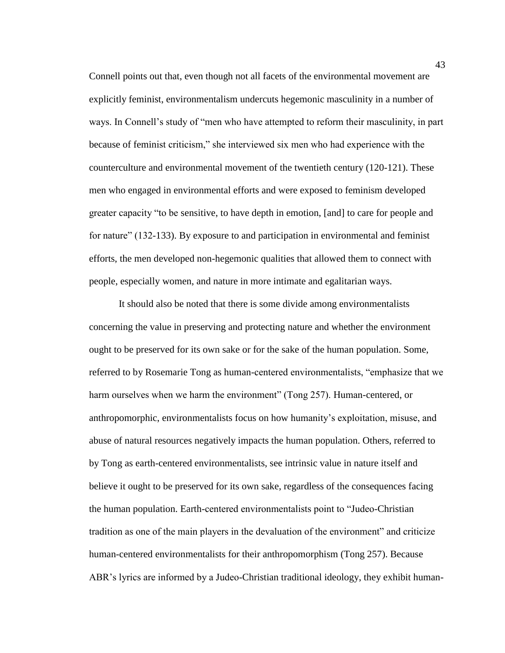Connell points out that, even though not all facets of the environmental movement are explicitly feminist, environmentalism undercuts hegemonic masculinity in a number of ways. In Connell's study of "men who have attempted to reform their masculinity, in part because of feminist criticism," she interviewed six men who had experience with the counterculture and environmental movement of the twentieth century (120-121). These men who engaged in environmental efforts and were exposed to feminism developed greater capacity "to be sensitive, to have depth in emotion, [and] to care for people and for nature" (132-133). By exposure to and participation in environmental and feminist efforts, the men developed non-hegemonic qualities that allowed them to connect with people, especially women, and nature in more intimate and egalitarian ways.

It should also be noted that there is some divide among environmentalists concerning the value in preserving and protecting nature and whether the environment ought to be preserved for its own sake or for the sake of the human population. Some, referred to by Rosemarie Tong as human-centered environmentalists, "emphasize that we harm ourselves when we harm the environment" (Tong 257). Human-centered, or anthropomorphic, environmentalists focus on how humanity's exploitation, misuse, and abuse of natural resources negatively impacts the human population. Others, referred to by Tong as earth-centered environmentalists, see intrinsic value in nature itself and believe it ought to be preserved for its own sake, regardless of the consequences facing the human population. Earth-centered environmentalists point to "Judeo-Christian tradition as one of the main players in the devaluation of the environment" and criticize human-centered environmentalists for their anthropomorphism (Tong 257). Because ABR's lyrics are informed by a Judeo-Christian traditional ideology, they exhibit human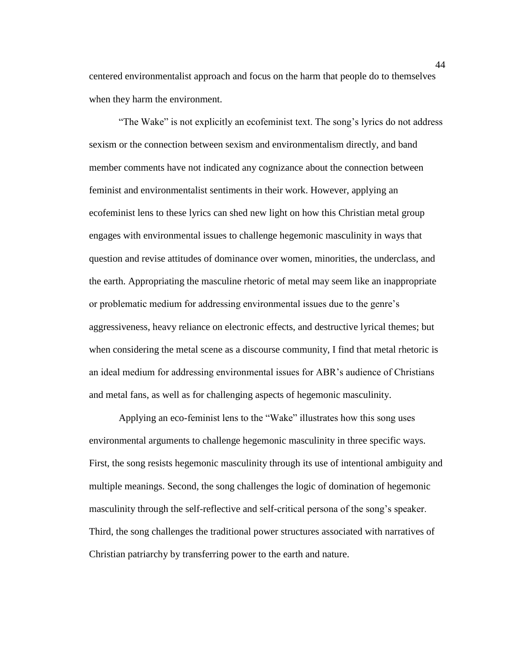centered environmentalist approach and focus on the harm that people do to themselves when they harm the environment.

"The Wake" is not explicitly an ecofeminist text. The song's lyrics do not address sexism or the connection between sexism and environmentalism directly, and band member comments have not indicated any cognizance about the connection between feminist and environmentalist sentiments in their work. However, applying an ecofeminist lens to these lyrics can shed new light on how this Christian metal group engages with environmental issues to challenge hegemonic masculinity in ways that question and revise attitudes of dominance over women, minorities, the underclass, and the earth. Appropriating the masculine rhetoric of metal may seem like an inappropriate or problematic medium for addressing environmental issues due to the genre's aggressiveness, heavy reliance on electronic effects, and destructive lyrical themes; but when considering the metal scene as a discourse community, I find that metal rhetoric is an ideal medium for addressing environmental issues for ABR's audience of Christians and metal fans, as well as for challenging aspects of hegemonic masculinity.

Applying an eco-feminist lens to the "Wake" illustrates how this song uses environmental arguments to challenge hegemonic masculinity in three specific ways. First, the song resists hegemonic masculinity through its use of intentional ambiguity and multiple meanings. Second, the song challenges the logic of domination of hegemonic masculinity through the self-reflective and self-critical persona of the song's speaker. Third, the song challenges the traditional power structures associated with narratives of Christian patriarchy by transferring power to the earth and nature.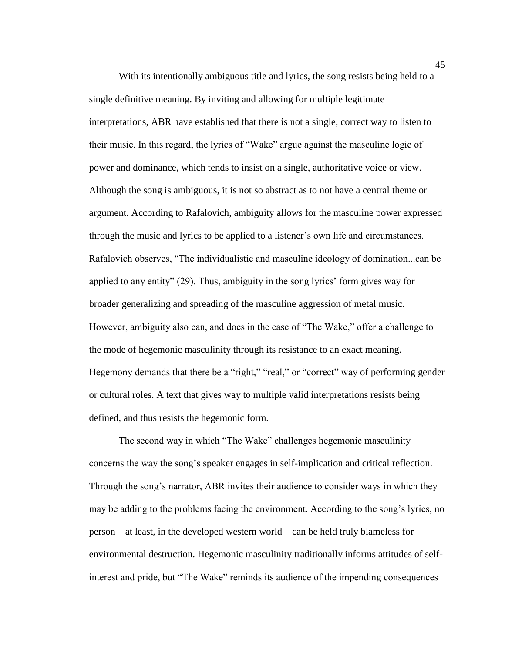With its intentionally ambiguous title and lyrics, the song resists being held to a single definitive meaning. By inviting and allowing for multiple legitimate interpretations, ABR have established that there is not a single, correct way to listen to their music. In this regard, the lyrics of "Wake" argue against the masculine logic of power and dominance, which tends to insist on a single, authoritative voice or view. Although the song is ambiguous, it is not so abstract as to not have a central theme or argument. According to Rafalovich, ambiguity allows for the masculine power expressed through the music and lyrics to be applied to a listener's own life and circumstances. Rafalovich observes, "The individualistic and masculine ideology of domination...can be applied to any entity" (29). Thus, ambiguity in the song lyrics' form gives way for broader generalizing and spreading of the masculine aggression of metal music. However, ambiguity also can, and does in the case of "The Wake," offer a challenge to the mode of hegemonic masculinity through its resistance to an exact meaning. Hegemony demands that there be a "right," "real," or "correct" way of performing gender or cultural roles. A text that gives way to multiple valid interpretations resists being defined, and thus resists the hegemonic form.

The second way in which "The Wake" challenges hegemonic masculinity concerns the way the song's speaker engages in self-implication and critical reflection. Through the song's narrator, ABR invites their audience to consider ways in which they may be adding to the problems facing the environment. According to the song's lyrics, no person—at least, in the developed western world—can be held truly blameless for environmental destruction. Hegemonic masculinity traditionally informs attitudes of selfinterest and pride, but "The Wake" reminds its audience of the impending consequences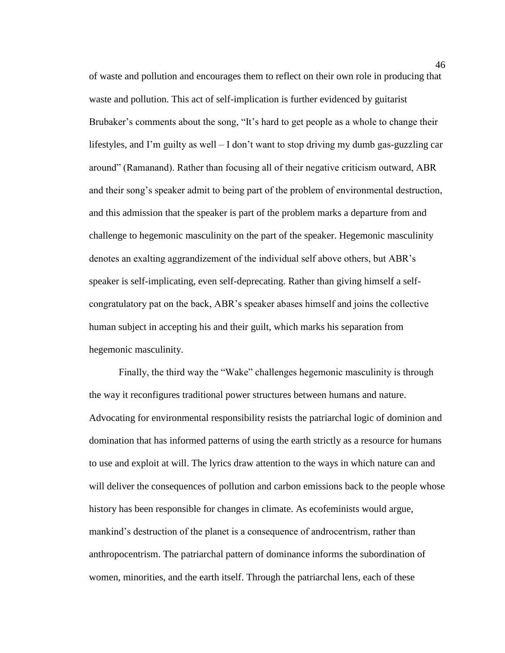of waste and pollution and encourages them to reflect on their own role in producing that waste and pollution. This act of self-implication is further evidenced by guitarist Brubaker's comments about the song, "It's hard to get people as a whole to change their lifestyles, and I'm guilty as well – I don't want to stop driving my dumb gas-guzzling car around" (Ramanand). Rather than focusing all of their negative criticism outward, ABR and their song's speaker admit to being part of the problem of environmental destruction, and this admission that the speaker is part of the problem marks a departure from and challenge to hegemonic masculinity on the part of the speaker. Hegemonic masculinity denotes an exalting aggrandizement of the individual self above others, but ABR's speaker is self-implicating, even self-deprecating. Rather than giving himself a selfcongratulatory pat on the back, ABR's speaker abases himself and joins the collective human subject in accepting his and their guilt, which marks his separation from hegemonic masculinity.

Finally, the third way the "Wake" challenges hegemonic masculinity is through the way it reconfigures traditional power structures between humans and nature. Advocating for environmental responsibility resists the patriarchal logic of dominion and domination that has informed patterns of using the earth strictly as a resource for humans to use and exploit at will. The lyrics draw attention to the ways in which nature can and will deliver the consequences of pollution and carbon emissions back to the people whose history has been responsible for changes in climate. As ecofeminists would argue, mankind's destruction of the planet is a consequence of androcentrism, rather than anthropocentrism. The patriarchal pattern of dominance informs the subordination of women, minorities, and the earth itself. Through the patriarchal lens, each of these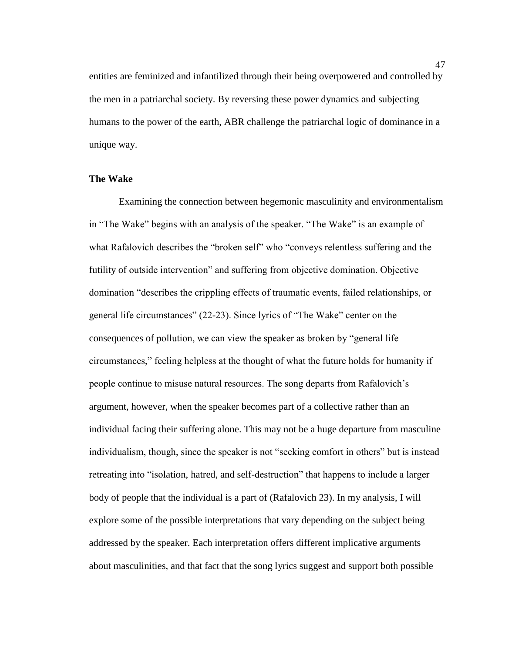entities are feminized and infantilized through their being overpowered and controlled by the men in a patriarchal society. By reversing these power dynamics and subjecting humans to the power of the earth, ABR challenge the patriarchal logic of dominance in a unique way.

### **The Wake**

Examining the connection between hegemonic masculinity and environmentalism in "The Wake" begins with an analysis of the speaker. "The Wake" is an example of what Rafalovich describes the "broken self" who "conveys relentless suffering and the futility of outside intervention" and suffering from objective domination. Objective domination "describes the crippling effects of traumatic events, failed relationships, or general life circumstances" (22-23). Since lyrics of "The Wake" center on the consequences of pollution, we can view the speaker as broken by "general life circumstances," feeling helpless at the thought of what the future holds for humanity if people continue to misuse natural resources. The song departs from Rafalovich's argument, however, when the speaker becomes part of a collective rather than an individual facing their suffering alone. This may not be a huge departure from masculine individualism, though, since the speaker is not "seeking comfort in others" but is instead retreating into "isolation, hatred, and self-destruction" that happens to include a larger body of people that the individual is a part of (Rafalovich 23). In my analysis, I will explore some of the possible interpretations that vary depending on the subject being addressed by the speaker. Each interpretation offers different implicative arguments about masculinities, and that fact that the song lyrics suggest and support both possible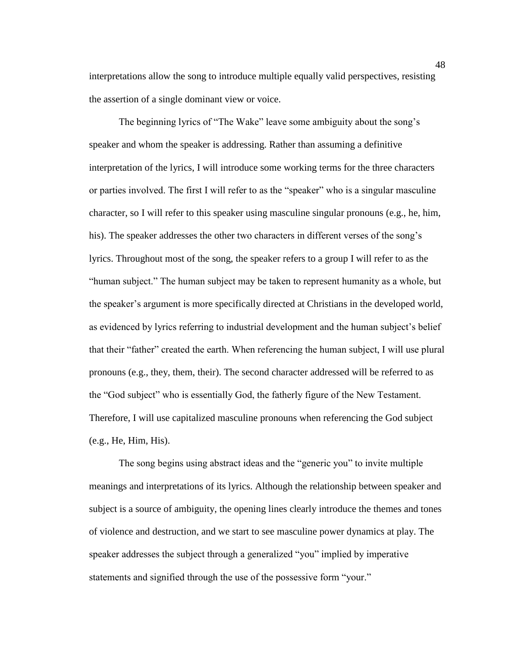interpretations allow the song to introduce multiple equally valid perspectives, resisting the assertion of a single dominant view or voice.

The beginning lyrics of "The Wake" leave some ambiguity about the song's speaker and whom the speaker is addressing. Rather than assuming a definitive interpretation of the lyrics, I will introduce some working terms for the three characters or parties involved. The first I will refer to as the "speaker" who is a singular masculine character, so I will refer to this speaker using masculine singular pronouns (e.g., he, him, his). The speaker addresses the other two characters in different verses of the song's lyrics. Throughout most of the song, the speaker refers to a group I will refer to as the "human subject." The human subject may be taken to represent humanity as a whole, but the speaker's argument is more specifically directed at Christians in the developed world, as evidenced by lyrics referring to industrial development and the human subject's belief that their "father" created the earth. When referencing the human subject, I will use plural pronouns (e.g., they, them, their). The second character addressed will be referred to as the "God subject" who is essentially God, the fatherly figure of the New Testament. Therefore, I will use capitalized masculine pronouns when referencing the God subject (e.g., He, Him, His).

The song begins using abstract ideas and the "generic you" to invite multiple meanings and interpretations of its lyrics. Although the relationship between speaker and subject is a source of ambiguity, the opening lines clearly introduce the themes and tones of violence and destruction, and we start to see masculine power dynamics at play. The speaker addresses the subject through a generalized "you" implied by imperative statements and signified through the use of the possessive form "your."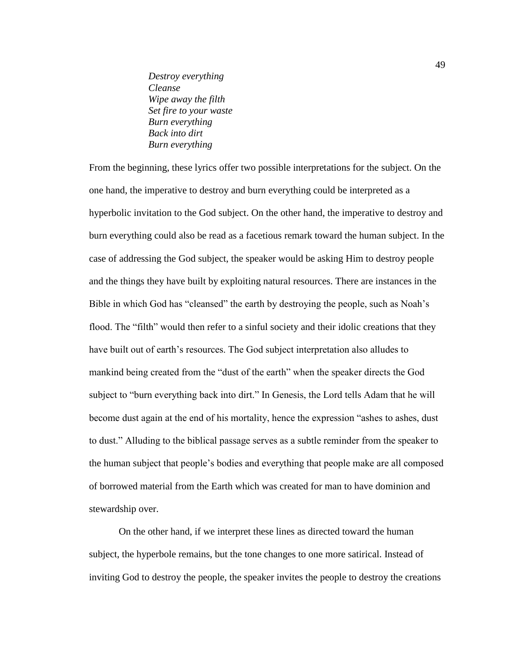*Destroy everything Cleanse Wipe away the filth Set fire to your waste Burn everything Back into dirt Burn everything*

From the beginning, these lyrics offer two possible interpretations for the subject. On the one hand, the imperative to destroy and burn everything could be interpreted as a hyperbolic invitation to the God subject. On the other hand, the imperative to destroy and burn everything could also be read as a facetious remark toward the human subject. In the case of addressing the God subject, the speaker would be asking Him to destroy people and the things they have built by exploiting natural resources. There are instances in the Bible in which God has "cleansed" the earth by destroying the people, such as Noah's flood. The "filth" would then refer to a sinful society and their idolic creations that they have built out of earth's resources. The God subject interpretation also alludes to mankind being created from the "dust of the earth" when the speaker directs the God subject to "burn everything back into dirt." In Genesis, the Lord tells Adam that he will become dust again at the end of his mortality, hence the expression "ashes to ashes, dust to dust." Alluding to the biblical passage serves as a subtle reminder from the speaker to the human subject that people's bodies and everything that people make are all composed of borrowed material from the Earth which was created for man to have dominion and stewardship over.

On the other hand, if we interpret these lines as directed toward the human subject, the hyperbole remains, but the tone changes to one more satirical. Instead of inviting God to destroy the people, the speaker invites the people to destroy the creations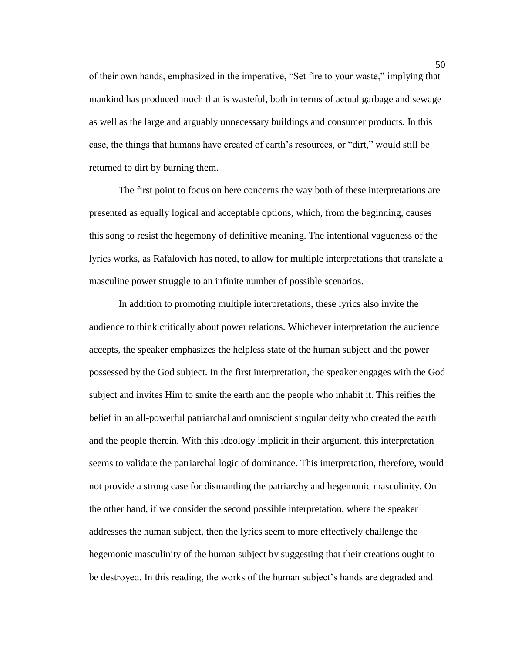of their own hands, emphasized in the imperative, "Set fire to your waste," implying that mankind has produced much that is wasteful, both in terms of actual garbage and sewage as well as the large and arguably unnecessary buildings and consumer products. In this case, the things that humans have created of earth's resources, or "dirt," would still be returned to dirt by burning them.

The first point to focus on here concerns the way both of these interpretations are presented as equally logical and acceptable options, which, from the beginning, causes this song to resist the hegemony of definitive meaning. The intentional vagueness of the lyrics works, as Rafalovich has noted, to allow for multiple interpretations that translate a masculine power struggle to an infinite number of possible scenarios.

In addition to promoting multiple interpretations, these lyrics also invite the audience to think critically about power relations. Whichever interpretation the audience accepts, the speaker emphasizes the helpless state of the human subject and the power possessed by the God subject. In the first interpretation, the speaker engages with the God subject and invites Him to smite the earth and the people who inhabit it. This reifies the belief in an all-powerful patriarchal and omniscient singular deity who created the earth and the people therein. With this ideology implicit in their argument, this interpretation seems to validate the patriarchal logic of dominance. This interpretation, therefore, would not provide a strong case for dismantling the patriarchy and hegemonic masculinity. On the other hand, if we consider the second possible interpretation, where the speaker addresses the human subject, then the lyrics seem to more effectively challenge the hegemonic masculinity of the human subject by suggesting that their creations ought to be destroyed. In this reading, the works of the human subject's hands are degraded and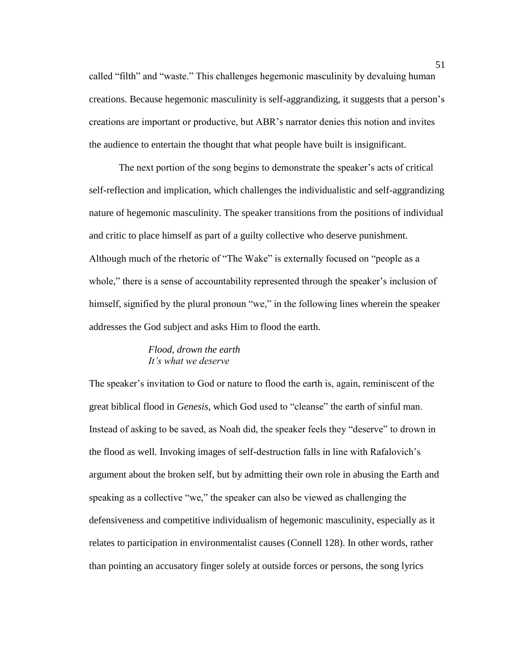called "filth" and "waste." This challenges hegemonic masculinity by devaluing human creations. Because hegemonic masculinity is self-aggrandizing, it suggests that a person's creations are important or productive, but ABR's narrator denies this notion and invites the audience to entertain the thought that what people have built is insignificant.

The next portion of the song begins to demonstrate the speaker's acts of critical self-reflection and implication, which challenges the individualistic and self-aggrandizing nature of hegemonic masculinity. The speaker transitions from the positions of individual and critic to place himself as part of a guilty collective who deserve punishment. Although much of the rhetoric of "The Wake" is externally focused on "people as a whole," there is a sense of accountability represented through the speaker's inclusion of himself, signified by the plural pronoun "we," in the following lines wherein the speaker addresses the God subject and asks Him to flood the earth.

# *Flood, drown the earth It's what we deserve*

The speaker's invitation to God or nature to flood the earth is, again, reminiscent of the great biblical flood in *Genesis*, which God used to "cleanse" the earth of sinful man. Instead of asking to be saved, as Noah did, the speaker feels they "deserve" to drown in the flood as well. Invoking images of self-destruction falls in line with Rafalovich's argument about the broken self, but by admitting their own role in abusing the Earth and speaking as a collective "we," the speaker can also be viewed as challenging the defensiveness and competitive individualism of hegemonic masculinity, especially as it relates to participation in environmentalist causes (Connell 128). In other words, rather than pointing an accusatory finger solely at outside forces or persons, the song lyrics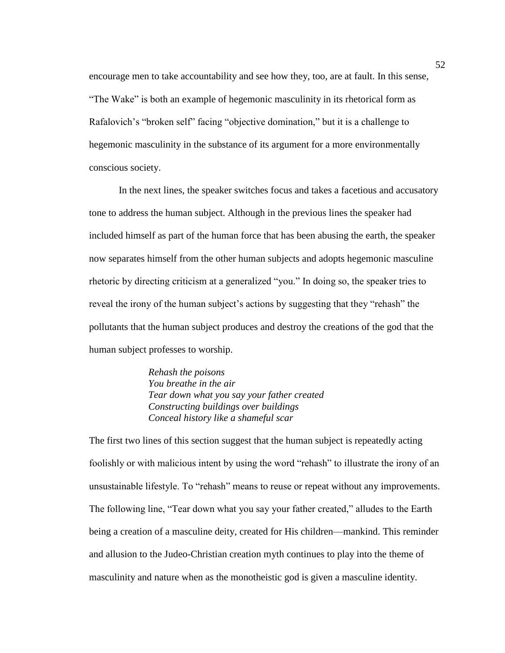encourage men to take accountability and see how they, too, are at fault. In this sense, "The Wake" is both an example of hegemonic masculinity in its rhetorical form as Rafalovich's "broken self" facing "objective domination," but it is a challenge to hegemonic masculinity in the substance of its argument for a more environmentally conscious society.

In the next lines, the speaker switches focus and takes a facetious and accusatory tone to address the human subject. Although in the previous lines the speaker had included himself as part of the human force that has been abusing the earth, the speaker now separates himself from the other human subjects and adopts hegemonic masculine rhetoric by directing criticism at a generalized "you." In doing so, the speaker tries to reveal the irony of the human subject's actions by suggesting that they "rehash" the pollutants that the human subject produces and destroy the creations of the god that the human subject professes to worship.

> *Rehash the poisons You breathe in the air Tear down what you say your father created Constructing buildings over buildings Conceal history like a shameful scar*

The first two lines of this section suggest that the human subject is repeatedly acting foolishly or with malicious intent by using the word "rehash" to illustrate the irony of an unsustainable lifestyle. To "rehash" means to reuse or repeat without any improvements. The following line, "Tear down what you say your father created," alludes to the Earth being a creation of a masculine deity, created for His children—mankind. This reminder and allusion to the Judeo-Christian creation myth continues to play into the theme of masculinity and nature when as the monotheistic god is given a masculine identity.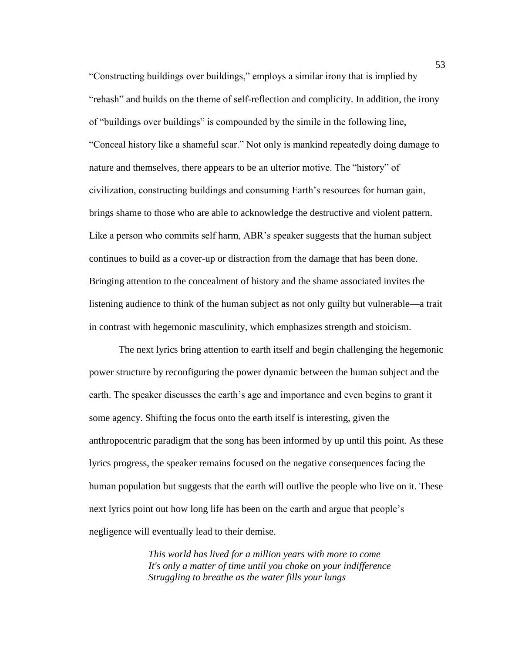"Constructing buildings over buildings," employs a similar irony that is implied by "rehash" and builds on the theme of self-reflection and complicity. In addition, the irony of "buildings over buildings" is compounded by the simile in the following line, "Conceal history like a shameful scar." Not only is mankind repeatedly doing damage to nature and themselves, there appears to be an ulterior motive. The "history" of civilization, constructing buildings and consuming Earth's resources for human gain, brings shame to those who are able to acknowledge the destructive and violent pattern. Like a person who commits self harm, ABR's speaker suggests that the human subject continues to build as a cover-up or distraction from the damage that has been done. Bringing attention to the concealment of history and the shame associated invites the listening audience to think of the human subject as not only guilty but vulnerable—a trait in contrast with hegemonic masculinity, which emphasizes strength and stoicism.

The next lyrics bring attention to earth itself and begin challenging the hegemonic power structure by reconfiguring the power dynamic between the human subject and the earth. The speaker discusses the earth's age and importance and even begins to grant it some agency. Shifting the focus onto the earth itself is interesting, given the anthropocentric paradigm that the song has been informed by up until this point. As these lyrics progress, the speaker remains focused on the negative consequences facing the human population but suggests that the earth will outlive the people who live on it. These next lyrics point out how long life has been on the earth and argue that people's negligence will eventually lead to their demise.

> *This world has lived for a million years with more to come It's only a matter of time until you choke on your indifference Struggling to breathe as the water fills your lungs*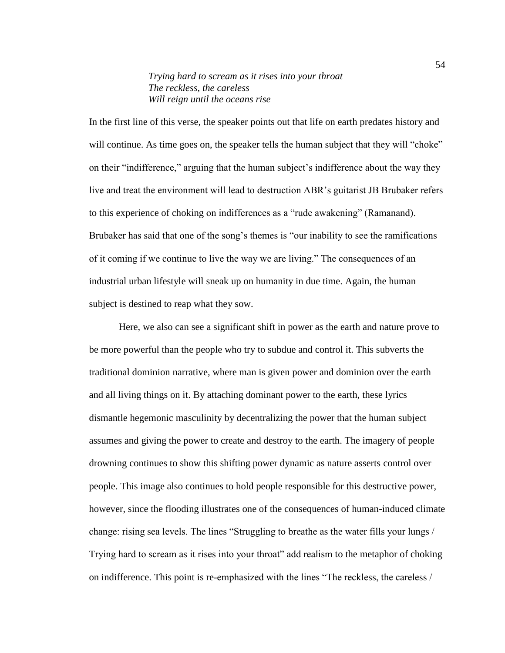*Trying hard to scream as it rises into your throat The reckless, the careless Will reign until the oceans rise*

In the first line of this verse, the speaker points out that life on earth predates history and will continue. As time goes on, the speaker tells the human subject that they will "choke" on their "indifference," arguing that the human subject's indifference about the way they live and treat the environment will lead to destruction ABR's guitarist JB Brubaker refers to this experience of choking on indifferences as a "rude awakening" (Ramanand). Brubaker has said that one of the song's themes is "our inability to see the ramifications of it coming if we continue to live the way we are living." The consequences of an industrial urban lifestyle will sneak up on humanity in due time. Again, the human subject is destined to reap what they sow.

Here, we also can see a significant shift in power as the earth and nature prove to be more powerful than the people who try to subdue and control it. This subverts the traditional dominion narrative, where man is given power and dominion over the earth and all living things on it. By attaching dominant power to the earth, these lyrics dismantle hegemonic masculinity by decentralizing the power that the human subject assumes and giving the power to create and destroy to the earth. The imagery of people drowning continues to show this shifting power dynamic as nature asserts control over people. This image also continues to hold people responsible for this destructive power, however, since the flooding illustrates one of the consequences of human-induced climate change: rising sea levels. The lines "Struggling to breathe as the water fills your lungs / Trying hard to scream as it rises into your throat" add realism to the metaphor of choking on indifference. This point is re-emphasized with the lines "The reckless, the careless /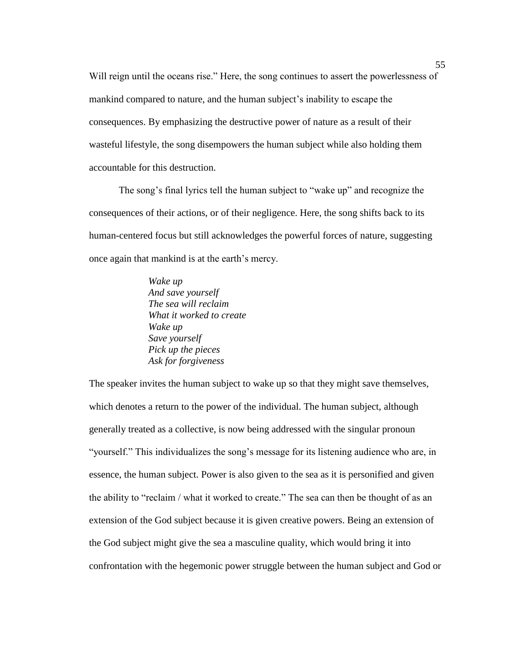Will reign until the oceans rise." Here, the song continues to assert the powerlessness of mankind compared to nature, and the human subject's inability to escape the consequences. By emphasizing the destructive power of nature as a result of their wasteful lifestyle, the song disempowers the human subject while also holding them accountable for this destruction.

The song's final lyrics tell the human subject to "wake up" and recognize the consequences of their actions, or of their negligence. Here, the song shifts back to its human-centered focus but still acknowledges the powerful forces of nature, suggesting once again that mankind is at the earth's mercy.

> *Wake up And save yourself The sea will reclaim What it worked to create Wake up Save yourself Pick up the pieces Ask for forgiveness*

The speaker invites the human subject to wake up so that they might save themselves, which denotes a return to the power of the individual. The human subject, although generally treated as a collective, is now being addressed with the singular pronoun "yourself." This individualizes the song's message for its listening audience who are, in essence, the human subject. Power is also given to the sea as it is personified and given the ability to "reclaim / what it worked to create." The sea can then be thought of as an extension of the God subject because it is given creative powers. Being an extension of the God subject might give the sea a masculine quality, which would bring it into confrontation with the hegemonic power struggle between the human subject and God or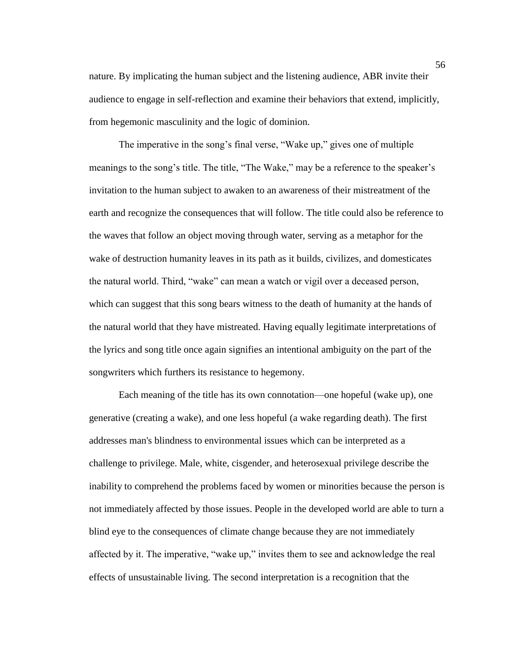nature. By implicating the human subject and the listening audience, ABR invite their audience to engage in self-reflection and examine their behaviors that extend, implicitly, from hegemonic masculinity and the logic of dominion.

The imperative in the song's final verse, "Wake up," gives one of multiple meanings to the song's title. The title, "The Wake," may be a reference to the speaker's invitation to the human subject to awaken to an awareness of their mistreatment of the earth and recognize the consequences that will follow. The title could also be reference to the waves that follow an object moving through water, serving as a metaphor for the wake of destruction humanity leaves in its path as it builds, civilizes, and domesticates the natural world. Third, "wake" can mean a watch or vigil over a deceased person, which can suggest that this song bears witness to the death of humanity at the hands of the natural world that they have mistreated. Having equally legitimate interpretations of the lyrics and song title once again signifies an intentional ambiguity on the part of the songwriters which furthers its resistance to hegemony.

Each meaning of the title has its own connotation—one hopeful (wake up), one generative (creating a wake), and one less hopeful (a wake regarding death). The first addresses man's blindness to environmental issues which can be interpreted as a challenge to privilege. Male, white, cisgender, and heterosexual privilege describe the inability to comprehend the problems faced by women or minorities because the person is not immediately affected by those issues. People in the developed world are able to turn a blind eye to the consequences of climate change because they are not immediately affected by it. The imperative, "wake up," invites them to see and acknowledge the real effects of unsustainable living. The second interpretation is a recognition that the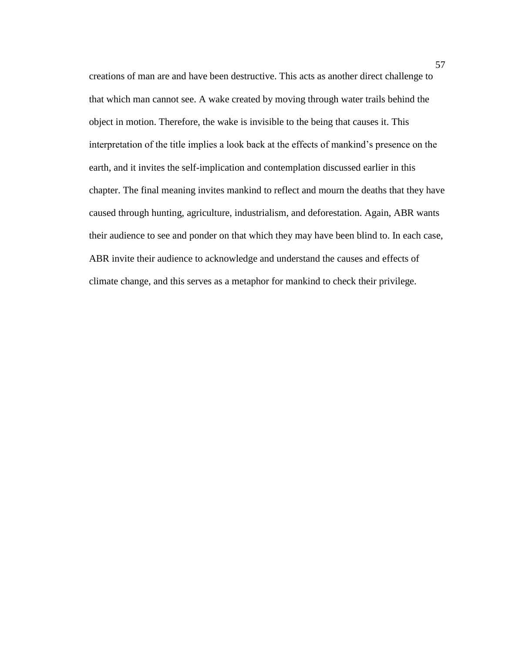creations of man are and have been destructive. This acts as another direct challenge to that which man cannot see. A wake created by moving through water trails behind the object in motion. Therefore, the wake is invisible to the being that causes it. This interpretation of the title implies a look back at the effects of mankind's presence on the earth, and it invites the self-implication and contemplation discussed earlier in this chapter. The final meaning invites mankind to reflect and mourn the deaths that they have caused through hunting, agriculture, industrialism, and deforestation. Again, ABR wants their audience to see and ponder on that which they may have been blind to. In each case, ABR invite their audience to acknowledge and understand the causes and effects of climate change, and this serves as a metaphor for mankind to check their privilege.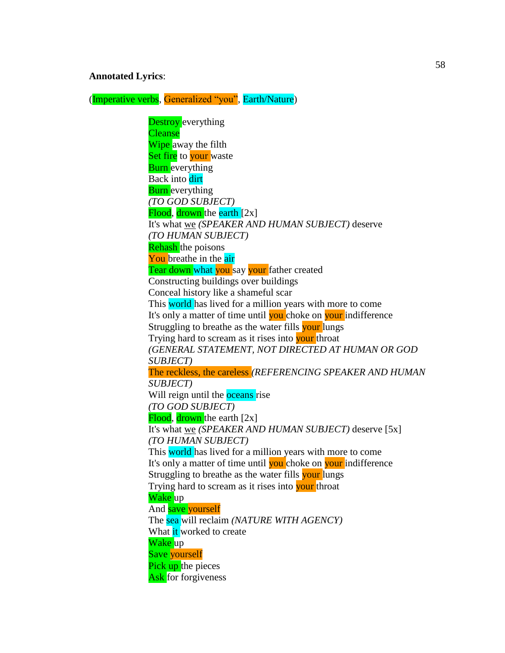## **Annotated Lyrics**:

(Imperative verbs, Generalized "you", Earth/Nature)

Destroy everything Cleanse Wipe away the filth Set fire to your waste **Burn** everything Back into dirt **Burn** everything *(TO GOD SUBJECT)* Flood, drown the earth  $[2x]$ It's what we *(SPEAKER AND HUMAN SUBJECT)* deserve *(TO HUMAN SUBJECT)* **Rehash** the poisons You breathe in the air Tear down what you say your father created Constructing buildings over buildings Conceal history like a shameful scar This world has lived for a million years with more to come It's only a matter of time until you choke on your indifference Struggling to breathe as the water fills your lungs Trying hard to scream as it rises into your throat *(GENERAL STATEMENT, NOT DIRECTED AT HUMAN OR GOD SUBJECT)* The reckless, the careless *(REFERENCING SPEAKER AND HUMAN SUBJECT)* Will reign until the oceans rise *(TO GOD SUBJECT)* Flood, drown the earth  $[2x]$ It's what we *(SPEAKER AND HUMAN SUBJECT)* deserve [5x] *(TO HUMAN SUBJECT)* This world has lived for a million years with more to come It's only a matter of time until **you** choke on **your** indifference Struggling to breathe as the water fills your lungs Trying hard to scream as it rises into your throat Wake up And save yourself The sea will reclaim *(NATURE WITH AGENCY)* What it worked to create Wake up Save yourself Pick up the pieces **Ask** for forgiveness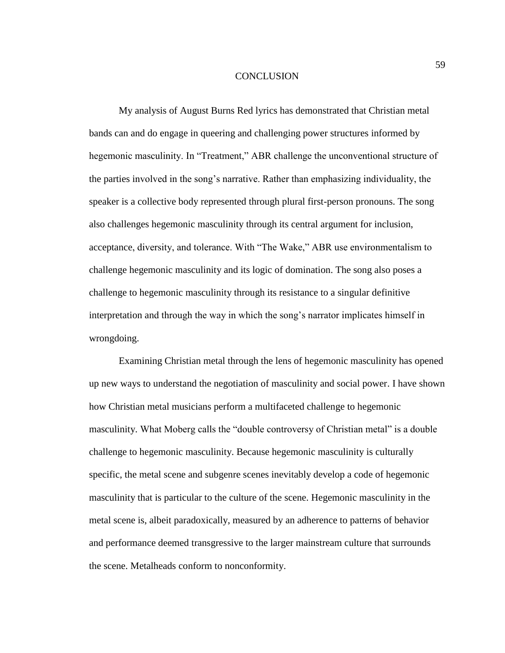#### **CONCLUSION**

My analysis of August Burns Red lyrics has demonstrated that Christian metal bands can and do engage in queering and challenging power structures informed by hegemonic masculinity. In "Treatment," ABR challenge the unconventional structure of the parties involved in the song's narrative. Rather than emphasizing individuality, the speaker is a collective body represented through plural first-person pronouns. The song also challenges hegemonic masculinity through its central argument for inclusion, acceptance, diversity, and tolerance. With "The Wake," ABR use environmentalism to challenge hegemonic masculinity and its logic of domination. The song also poses a challenge to hegemonic masculinity through its resistance to a singular definitive interpretation and through the way in which the song's narrator implicates himself in wrongdoing.

Examining Christian metal through the lens of hegemonic masculinity has opened up new ways to understand the negotiation of masculinity and social power. I have shown how Christian metal musicians perform a multifaceted challenge to hegemonic masculinity. What Moberg calls the "double controversy of Christian metal" is a double challenge to hegemonic masculinity. Because hegemonic masculinity is culturally specific, the metal scene and subgenre scenes inevitably develop a code of hegemonic masculinity that is particular to the culture of the scene. Hegemonic masculinity in the metal scene is, albeit paradoxically, measured by an adherence to patterns of behavior and performance deemed transgressive to the larger mainstream culture that surrounds the scene. Metalheads conform to nonconformity.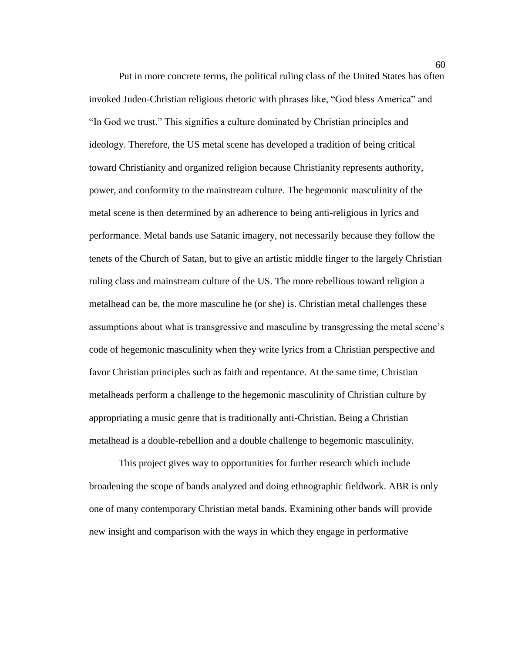Put in more concrete terms, the political ruling class of the United States has often invoked Judeo-Christian religious rhetoric with phrases like, "God bless America" and "In God we trust." This signifies a culture dominated by Christian principles and ideology. Therefore, the US metal scene has developed a tradition of being critical toward Christianity and organized religion because Christianity represents authority, power, and conformity to the mainstream culture. The hegemonic masculinity of the metal scene is then determined by an adherence to being anti-religious in lyrics and performance. Metal bands use Satanic imagery, not necessarily because they follow the tenets of the Church of Satan, but to give an artistic middle finger to the largely Christian ruling class and mainstream culture of the US. The more rebellious toward religion a metalhead can be, the more masculine he (or she) is. Christian metal challenges these assumptions about what is transgressive and masculine by transgressing the metal scene's code of hegemonic masculinity when they write lyrics from a Christian perspective and favor Christian principles such as faith and repentance. At the same time, Christian metalheads perform a challenge to the hegemonic masculinity of Christian culture by appropriating a music genre that is traditionally anti-Christian. Being a Christian metalhead is a double-rebellion and a double challenge to hegemonic masculinity.

This project gives way to opportunities for further research which include broadening the scope of bands analyzed and doing ethnographic fieldwork. ABR is only one of many contemporary Christian metal bands. Examining other bands will provide new insight and comparison with the ways in which they engage in performative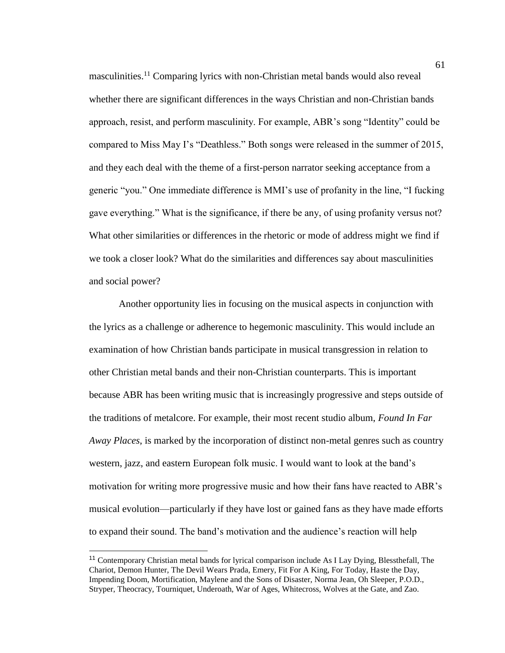masculinities.<sup>11</sup> Comparing lyrics with non-Christian metal bands would also reveal whether there are significant differences in the ways Christian and non-Christian bands approach, resist, and perform masculinity. For example, ABR's song "Identity" could be compared to Miss May I's "Deathless." Both songs were released in the summer of 2015, and they each deal with the theme of a first-person narrator seeking acceptance from a generic "you." One immediate difference is MMI's use of profanity in the line, "I fucking gave everything." What is the significance, if there be any, of using profanity versus not? What other similarities or differences in the rhetoric or mode of address might we find if we took a closer look? What do the similarities and differences say about masculinities and social power?

Another opportunity lies in focusing on the musical aspects in conjunction with the lyrics as a challenge or adherence to hegemonic masculinity. This would include an examination of how Christian bands participate in musical transgression in relation to other Christian metal bands and their non-Christian counterparts. This is important because ABR has been writing music that is increasingly progressive and steps outside of the traditions of metalcore. For example, their most recent studio album, *Found In Far Away Places*, is marked by the incorporation of distinct non-metal genres such as country western, jazz, and eastern European folk music. I would want to look at the band's motivation for writing more progressive music and how their fans have reacted to ABR's musical evolution—particularly if they have lost or gained fans as they have made efforts to expand their sound. The band's motivation and the audience's reaction will help

<sup>&</sup>lt;sup>11</sup> Contemporary Christian metal bands for lyrical comparison include As I Lay Dying, Blessthefall, The Chariot, Demon Hunter, The Devil Wears Prada, Emery, Fit For A King, For Today, Haste the Day, Impending Doom, Mortification, Maylene and the Sons of Disaster, Norma Jean, Oh Sleeper, P.O.D., Stryper, Theocracy, Tourniquet, Underoath, War of Ages, Whitecross, Wolves at the Gate, and Zao.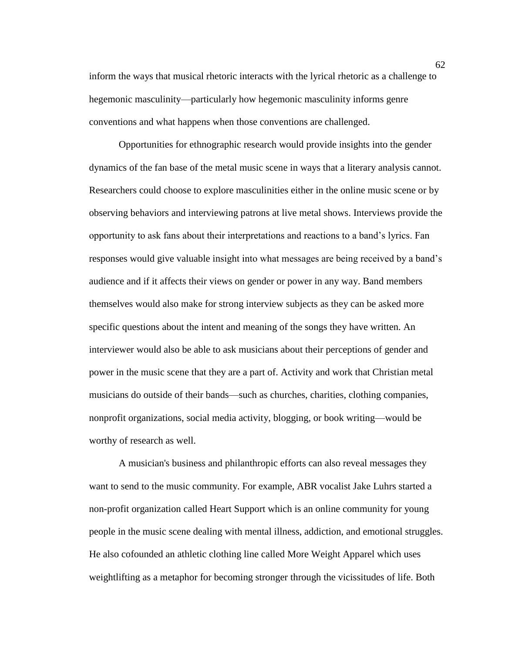inform the ways that musical rhetoric interacts with the lyrical rhetoric as a challenge to hegemonic masculinity—particularly how hegemonic masculinity informs genre conventions and what happens when those conventions are challenged.

Opportunities for ethnographic research would provide insights into the gender dynamics of the fan base of the metal music scene in ways that a literary analysis cannot. Researchers could choose to explore masculinities either in the online music scene or by observing behaviors and interviewing patrons at live metal shows. Interviews provide the opportunity to ask fans about their interpretations and reactions to a band's lyrics. Fan responses would give valuable insight into what messages are being received by a band's audience and if it affects their views on gender or power in any way. Band members themselves would also make for strong interview subjects as they can be asked more specific questions about the intent and meaning of the songs they have written. An interviewer would also be able to ask musicians about their perceptions of gender and power in the music scene that they are a part of. Activity and work that Christian metal musicians do outside of their bands—such as churches, charities, clothing companies, nonprofit organizations, social media activity, blogging, or book writing—would be worthy of research as well.

A musician's business and philanthropic efforts can also reveal messages they want to send to the music community. For example, ABR vocalist Jake Luhrs started a non-profit organization called Heart Support which is an online community for young people in the music scene dealing with mental illness, addiction, and emotional struggles. He also cofounded an athletic clothing line called More Weight Apparel which uses weightlifting as a metaphor for becoming stronger through the vicissitudes of life. Both

62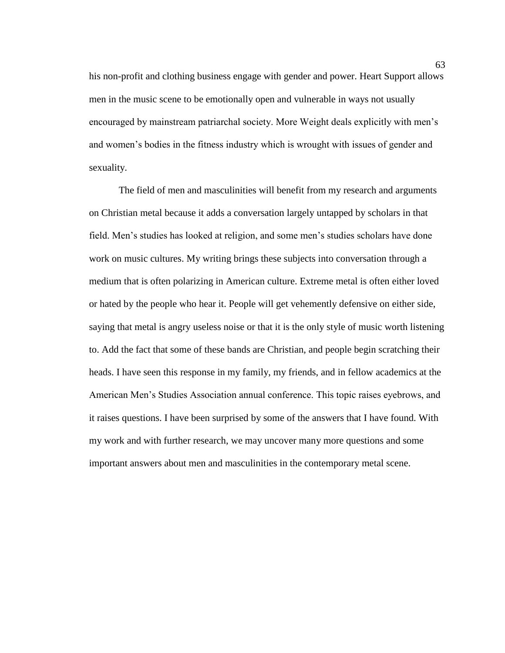his non-profit and clothing business engage with gender and power. Heart Support allows men in the music scene to be emotionally open and vulnerable in ways not usually encouraged by mainstream patriarchal society. More Weight deals explicitly with men's and women's bodies in the fitness industry which is wrought with issues of gender and sexuality.

The field of men and masculinities will benefit from my research and arguments on Christian metal because it adds a conversation largely untapped by scholars in that field. Men's studies has looked at religion, and some men's studies scholars have done work on music cultures. My writing brings these subjects into conversation through a medium that is often polarizing in American culture. Extreme metal is often either loved or hated by the people who hear it. People will get vehemently defensive on either side, saying that metal is angry useless noise or that it is the only style of music worth listening to. Add the fact that some of these bands are Christian, and people begin scratching their heads. I have seen this response in my family, my friends, and in fellow academics at the American Men's Studies Association annual conference. This topic raises eyebrows, and it raises questions. I have been surprised by some of the answers that I have found. With my work and with further research, we may uncover many more questions and some important answers about men and masculinities in the contemporary metal scene.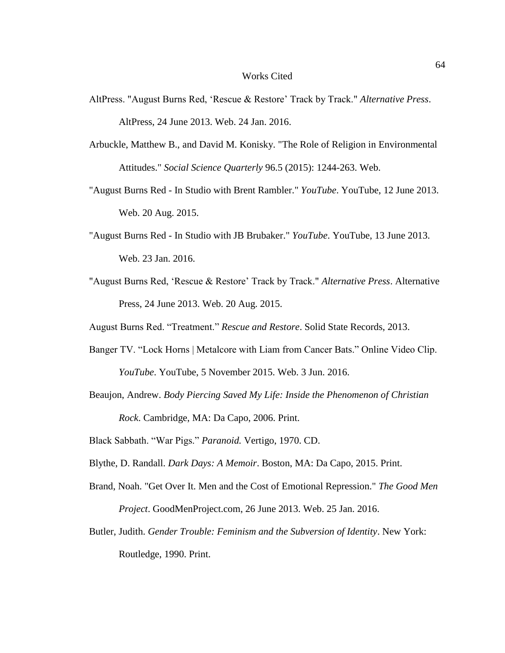### Works Cited

- AltPress. "August Burns Red, 'Rescue & Restore' Track by Track." *Alternative Press*. AltPress, 24 June 2013. Web. 24 Jan. 2016.
- Arbuckle, Matthew B., and David M. Konisky. "The Role of Religion in Environmental Attitudes." *Social Science Quarterly* 96.5 (2015): 1244-263. Web.
- "August Burns Red In Studio with Brent Rambler." *YouTube*. YouTube, 12 June 2013. Web. 20 Aug. 2015.
- "August Burns Red In Studio with JB Brubaker." *YouTube*. YouTube, 13 June 2013. Web. 23 Jan. 2016.
- "August Burns Red, 'Rescue & Restore' Track by Track." *Alternative Press*. Alternative Press, 24 June 2013. Web. 20 Aug. 2015.
- August Burns Red. "Treatment." *Rescue and Restore*. Solid State Records, 2013.
- Banger TV. "Lock Horns | Metalcore with Liam from Cancer Bats." Online Video Clip. *YouTube*. YouTube, 5 November 2015. Web. 3 Jun. 2016.
- Beaujon, Andrew. *Body Piercing Saved My Life: Inside the Phenomenon of Christian*

*Rock*. Cambridge, MA: Da Capo, 2006. Print.

Black Sabbath. "War Pigs." *Paranoid.* Vertigo, 1970. CD.

- Blythe, D. Randall. *Dark Days: A Memoir*. Boston, MA: Da Capo, 2015. Print.
- Brand, Noah. "Get Over It. Men and the Cost of Emotional Repression." *The Good Men Project*. GoodMenProject.com, 26 June 2013. Web. 25 Jan. 2016.
- Butler, Judith. *Gender Trouble: Feminism and the Subversion of Identity*. New York: Routledge, 1990. Print.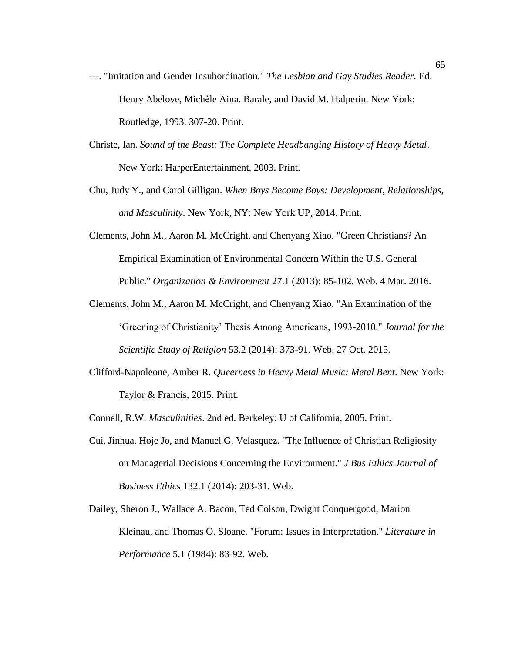- ---. "Imitation and Gender Insubordination." *The Lesbian and Gay Studies Reader*. Ed. Henry Abelove, Michèle Aina. Barale, and David M. Halperin. New York: Routledge, 1993. 307-20. Print.
- Christe, Ian. *Sound of the Beast: The Complete Headbanging History of Heavy Metal*. New York: HarperEntertainment, 2003. Print.
- Chu, Judy Y., and Carol Gilligan. *When Boys Become Boys: Development, Relationships, and Masculinity*. New York, NY: New York UP, 2014. Print.
- Clements, John M., Aaron M. McCright, and Chenyang Xiao. "Green Christians? An Empirical Examination of Environmental Concern Within the U.S. General Public." *Organization & Environment* 27.1 (2013): 85-102. Web. 4 Mar. 2016.
- Clements, John M., Aaron M. McCright, and Chenyang Xiao. "An Examination of the 'Greening of Christianity' Thesis Among Americans, 1993-2010." *Journal for the Scientific Study of Religion* 53.2 (2014): 373-91. Web. 27 Oct. 2015.
- Clifford-Napoleone, Amber R. *Queerness in Heavy Metal Music: Metal Bent*. New York: Taylor & Francis, 2015. Print.
- Connell, R.W. *Masculinities*. 2nd ed. Berkeley: U of California, 2005. Print.
- Cui, Jinhua, Hoje Jo, and Manuel G. Velasquez. "The Influence of Christian Religiosity on Managerial Decisions Concerning the Environment." *J Bus Ethics Journal of Business Ethics* 132.1 (2014): 203-31. Web.
- Dailey, Sheron J., Wallace A. Bacon, Ted Colson, Dwight Conquergood, Marion Kleinau, and Thomas O. Sloane. "Forum: Issues in Interpretation." *Literature in Performance* 5.1 (1984): 83-92. Web.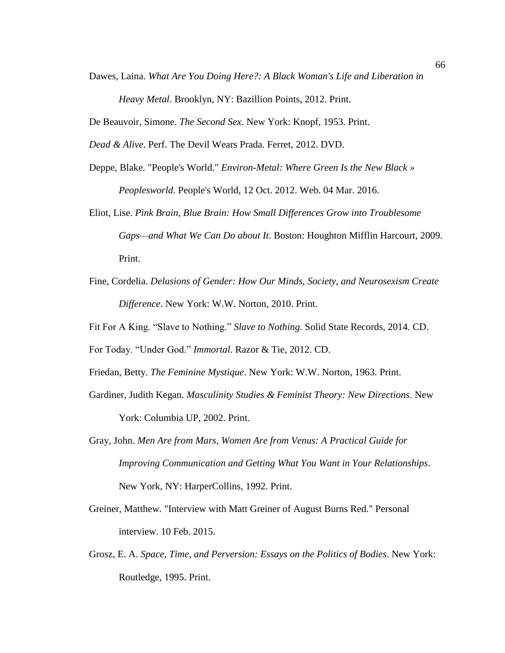Dawes, Laina. *What Are You Doing Here?: A Black Woman's Life and Liberation in* 

*Heavy Metal*. Brooklyn, NY: Bazillion Points, 2012. Print.

De Beauvoir, Simone. *The Second Sex*. New York: Knopf, 1953. Print.

*Dead & Alive*. Perf. The Devil Wears Prada. Ferret, 2012. DVD.

- Deppe, Blake. "People's World." *Environ-Metal: Where Green Is the New Black » Peoplesworld*. People's World, 12 Oct. 2012. Web. 04 Mar. 2016.
- Eliot, Lise. *Pink Brain, Blue Brain: How Small Differences Grow into Troublesome Gaps—and What We Can Do about It*. Boston: Houghton Mifflin Harcourt, 2009. Print.
- Fine, Cordelia. *Delusions of Gender: How Our Minds, Society, and Neurosexism Create Difference*. New York: W.W. Norton, 2010. Print.
- Fit For A King. "Slave to Nothing." *Slave to Nothing.* Solid State Records, 2014. CD.

For Today. "Under God." *Immortal*. Razor & Tie, 2012. CD.

- Friedan, Betty. *The Feminine Mystique*. New York: W.W. Norton, 1963. Print.
- Gardiner, Judith Kegan. *Masculinity Studies & Feminist Theory: New Directions*. New York: Columbia UP, 2002. Print.
- Gray, John. *Men Are from Mars, Women Are from Venus: A Practical Guide for Improving Communication and Getting What You Want in Your Relationships*. New York, NY: HarperCollins, 1992. Print.
- Greiner, Matthew. "Interview with Matt Greiner of August Burns Red." Personal interview. 10 Feb. 2015.
- Grosz, E. A. *Space, Time, and Perversion: Essays on the Politics of Bodies*. New York: Routledge, 1995. Print.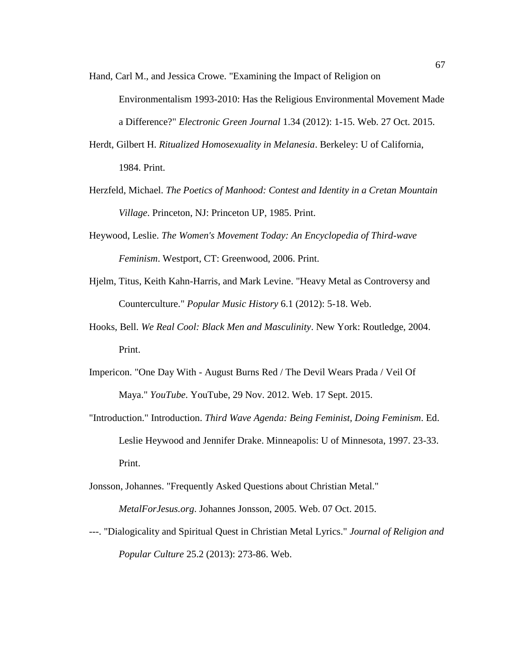- Hand, Carl M., and Jessica Crowe. "Examining the Impact of Religion on Environmentalism 1993-2010: Has the Religious Environmental Movement Made a Difference?" *Electronic Green Journal* 1.34 (2012): 1-15. Web. 27 Oct. 2015.
- Herdt, Gilbert H. *Ritualized Homosexuality in Melanesia*. Berkeley: U of California, 1984. Print.
- Herzfeld, Michael. *The Poetics of Manhood: Contest and Identity in a Cretan Mountain Village*. Princeton, NJ: Princeton UP, 1985. Print.
- Heywood, Leslie. *The Women's Movement Today: An Encyclopedia of Third-wave Feminism*. Westport, CT: Greenwood, 2006. Print.
- Hjelm, Titus, Keith Kahn-Harris, and Mark Levine. "Heavy Metal as Controversy and Counterculture." *Popular Music History* 6.1 (2012): 5-18. Web.
- Hooks, Bell. *We Real Cool: Black Men and Masculinity*. New York: Routledge, 2004. Print.
- Impericon. "One Day With August Burns Red / The Devil Wears Prada / Veil Of Maya." *YouTube*. YouTube, 29 Nov. 2012. Web. 17 Sept. 2015.
- "Introduction." Introduction. *Third Wave Agenda: Being Feminist, Doing Feminism*. Ed. Leslie Heywood and Jennifer Drake. Minneapolis: U of Minnesota, 1997. 23-33. Print.
- Jonsson, Johannes. "Frequently Asked Questions about Christian Metal." *MetalForJesus.org*. Johannes Jonsson, 2005. Web. 07 Oct. 2015.
- ---. "Dialogicality and Spiritual Quest in Christian Metal Lyrics." *Journal of Religion and Popular Culture* 25.2 (2013): 273-86. Web.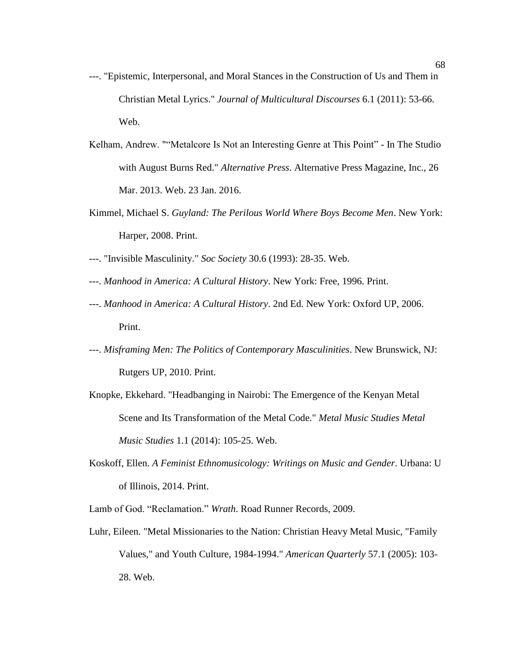- ---. "Epistemic, Interpersonal, and Moral Stances in the Construction of Us and Them in Christian Metal Lyrics." *Journal of Multicultural Discourses* 6.1 (2011): 53-66. Web.
- Kelham, Andrew. ""Metalcore Is Not an Interesting Genre at This Point" In The Studio with August Burns Red." *Alternative Press*. Alternative Press Magazine, Inc., 26 Mar. 2013. Web. 23 Jan. 2016.
- Kimmel, Michael S. *Guyland: The Perilous World Where Boys Become Men*. New York: Harper, 2008. Print.
- ---. "Invisible Masculinity." *Soc Society* 30.6 (1993): 28-35. Web.
- ---. *Manhood in America: A Cultural History*. New York: Free, 1996. Print.
- ---. *Manhood in America: A Cultural History*. 2nd Ed. New York: Oxford UP, 2006. Print.
- ---. *Misframing Men: The Politics of Contemporary Masculinities*. New Brunswick, NJ: Rutgers UP, 2010. Print.
- Knopke, Ekkehard. "Headbanging in Nairobi: The Emergence of the Kenyan Metal Scene and Its Transformation of the Metal Code." *Metal Music Studies Metal Music Studies* 1.1 (2014): 105-25. Web.
- Koskoff, Ellen. *A Feminist Ethnomusicology: Writings on Music and Gender*. Urbana: U of Illinois, 2014. Print.
- Lamb of God. "Reclamation." *Wrath*. Road Runner Records, 2009.
- Luhr, Eileen. "Metal Missionaries to the Nation: Christian Heavy Metal Music, "Family Values," and Youth Culture, 1984-1994." *American Quarterly* 57.1 (2005): 103- 28. Web.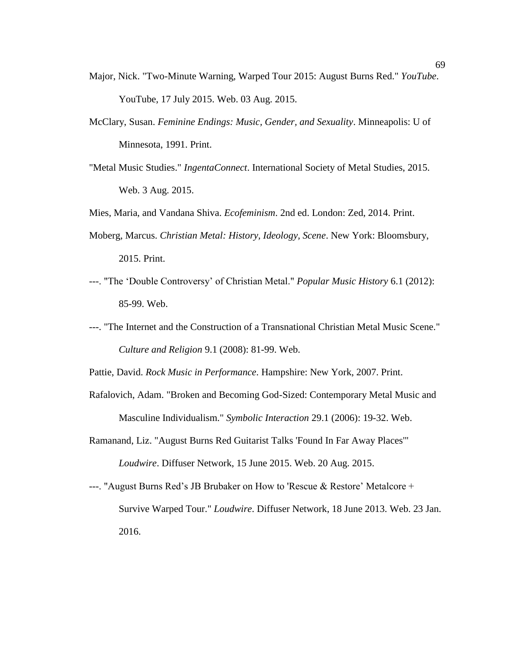- Major, Nick. "Two-Minute Warning, Warped Tour 2015: August Burns Red." *YouTube*. YouTube, 17 July 2015. Web. 03 Aug. 2015.
- McClary, Susan. *Feminine Endings: Music, Gender, and Sexuality*. Minneapolis: U of Minnesota, 1991. Print.
- "Metal Music Studies." *IngentaConnect*. International Society of Metal Studies, 2015. Web. 3 Aug. 2015.
- Mies, Maria, and Vandana Shiva. *Ecofeminism*. 2nd ed. London: Zed, 2014. Print.
- Moberg, Marcus. *Christian Metal: History, Ideology, Scene*. New York: Bloomsbury, 2015. Print.
- ---. "The 'Double Controversy' of Christian Metal." *Popular Music History* 6.1 (2012): 85-99. Web.
- ---. "The Internet and the Construction of a Transnational Christian Metal Music Scene." *Culture and Religion* 9.1 (2008): 81-99. Web.

Pattie, David. *Rock Music in Performance*. Hampshire: New York, 2007. Print.

- Rafalovich, Adam. "Broken and Becoming God-Sized: Contemporary Metal Music and Masculine Individualism." *Symbolic Interaction* 29.1 (2006): 19-32. Web.
- Ramanand, Liz. "August Burns Red Guitarist Talks 'Found In Far Away Places'" *Loudwire*. Diffuser Network, 15 June 2015. Web. 20 Aug. 2015.
- ---. "August Burns Red's JB Brubaker on How to 'Rescue & Restore' Metalcore + Survive Warped Tour." *Loudwire*. Diffuser Network, 18 June 2013. Web. 23 Jan. 2016.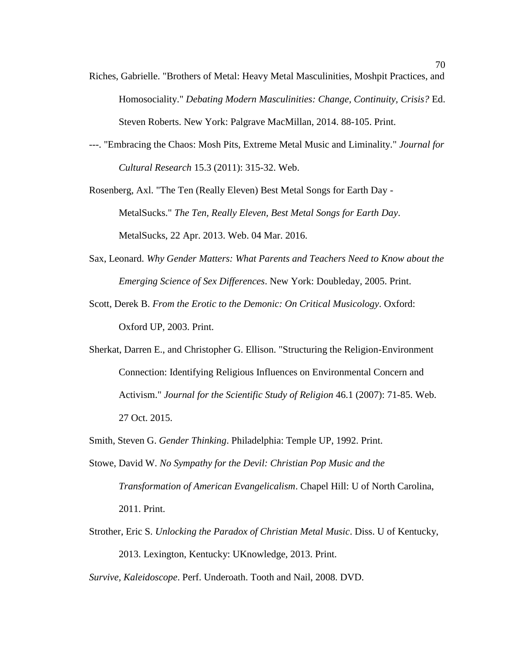- Riches, Gabrielle. "Brothers of Metal: Heavy Metal Masculinities, Moshpit Practices, and Homosociality." *Debating Modern Masculinities: Change, Continuity, Crisis?* Ed. Steven Roberts. New York: Palgrave MacMillan, 2014. 88-105. Print.
- ---. "Embracing the Chaos: Mosh Pits, Extreme Metal Music and Liminality." *Journal for Cultural Research* 15.3 (2011): 315-32. Web.
- Rosenberg, Axl. "The Ten (Really Eleven) Best Metal Songs for Earth Day MetalSucks." *The Ten, Really Eleven, Best Metal Songs for Earth Day*. MetalSucks, 22 Apr. 2013. Web. 04 Mar. 2016.
- Sax, Leonard. *Why Gender Matters: What Parents and Teachers Need to Know about the Emerging Science of Sex Differences*. New York: Doubleday, 2005. Print.
- Scott, Derek B. *From the Erotic to the Demonic: On Critical Musicology*. Oxford: Oxford UP, 2003. Print.
- Sherkat, Darren E., and Christopher G. Ellison. "Structuring the Religion-Environment Connection: Identifying Religious Influences on Environmental Concern and Activism." *Journal for the Scientific Study of Religion* 46.1 (2007): 71-85. Web. 27 Oct. 2015.
- Smith, Steven G. *Gender Thinking*. Philadelphia: Temple UP, 1992. Print.
- Stowe, David W. *No Sympathy for the Devil: Christian Pop Music and the Transformation of American Evangelicalism*. Chapel Hill: U of North Carolina, 2011. Print.
- Strother, Eric S. *Unlocking the Paradox of Christian Metal Music*. Diss. U of Kentucky, 2013. Lexington, Kentucky: UKnowledge, 2013. Print.
- *Survive, Kaleidoscope*. Perf. Underoath. Tooth and Nail, 2008. DVD.